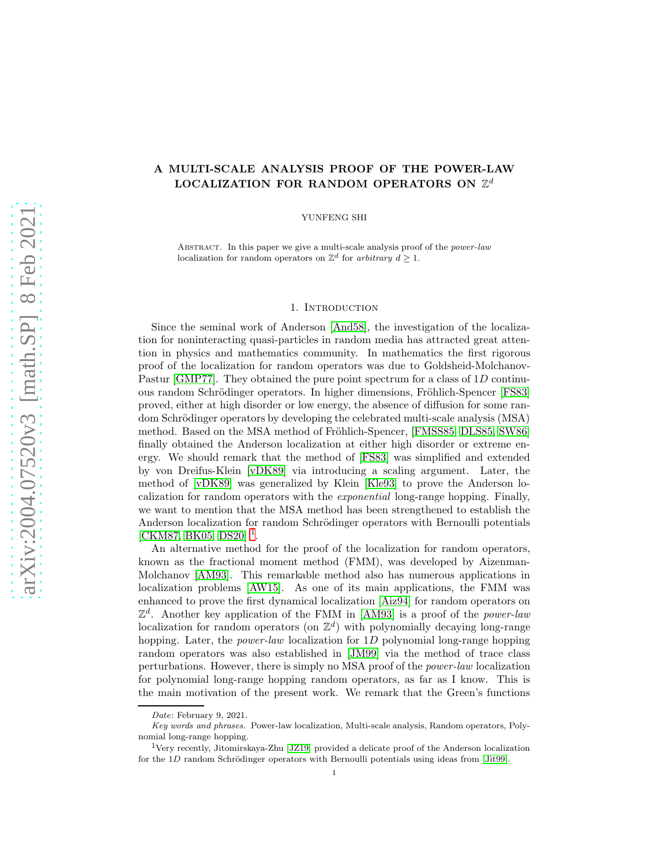# A MULTI-SCALE ANALYSIS PROOF OF THE POWER-LAW LOCALIZATION FOR RANDOM OPERATORS ON  $\mathbb{Z}^d$

YUNFENG SHI

ABSTRACT. In this paper we give a multi-scale analysis proof of the *power-law* localization for random operators on  $\mathbb{Z}^d$  for arbitrary  $d \geq 1$ .

## 1. Introduction

Since the seminal work of Anderson [\[And58\]](#page-19-0), the investigation of the localization for noninteracting quasi-particles in random media has attracted great attention in physics and mathematics community. In mathematics the first rigorous proof of the localization for random operators was due to Goldsheid-Molchanov-Pastur [\[GMP77\]](#page-20-0). They obtained the pure point spectrum for a class of 1D continu-ous random Schrödinger operators. In higher dimensions, Fröhlich-Spencer [\[FS83\]](#page-19-1) proved, either at high disorder or low energy, the absence of diffusion for some random Schrödinger operators by developing the celebrated multi-scale analysis (MSA) method. Based on the MSA method of Fröhlich-Spencer, [\[FMSS85,](#page-19-2) [DLS85,](#page-19-3) [SW86\]](#page-20-1) finally obtained the Anderson localization at either high disorder or extreme energy. We should remark that the method of [\[FS83\]](#page-19-1) was simplified and extended by von Dreifus-Klein [\[vDK89\]](#page-20-2) via introducing a scaling argument. Later, the method of [\[vDK89\]](#page-20-2) was generalized by Klein [\[Kle93\]](#page-20-3) to prove the Anderson localization for random operators with the exponential long-range hopping. Finally, we want to mention that the MSA method has been strengthened to establish the Anderson localization for random Schrödinger operators with Bernoulli potentials [\[CKM87,](#page-19-4) [BK05,](#page-19-5) [DS20\]](#page-19-6)<sup>[1](#page-0-0)</sup>.

An alternative method for the proof of the localization for random operators, known as the fractional moment method (FMM), was developed by Aizenman-Molchanov [\[AM93\]](#page-19-7). This remarkable method also has numerous applications in localization problems [\[AW15\]](#page-19-8). As one of its main applications, the FMM was enhanced to prove the first dynamical localization [\[Aiz94\]](#page-19-9) for random operators on  $\mathbb{Z}^d$ . Another key application of the FMM in [\[AM93\]](#page-19-7) is a proof of the *power-law* localization for random operators (on  $\mathbb{Z}^d$ ) with polynomially decaying long-range hopping. Later, the *power-law* localization for 1D polynomial long-range hopping random operators was also established in [\[JM99\]](#page-20-4) via the method of trace class perturbations. However, there is simply no MSA proof of the power-law localization for polynomial long-range hopping random operators, as far as I know. This is the main motivation of the present work. We remark that the Green's functions

Date: February 9, 2021.

Key words and phrases. Power-law localization, Multi-scale analysis, Random operators, Polynomial long-range hopping.

<span id="page-0-0"></span><sup>&</sup>lt;sup>1</sup>Very recently, Jitomirskaya-Zhu [\[JZ19\]](#page-20-5) provided a delicate proof of the Anderson localization for the  $1D$  random Schrödinger operators with Bernoulli potentials using ideas from [\[Jit99\]](#page-20-6).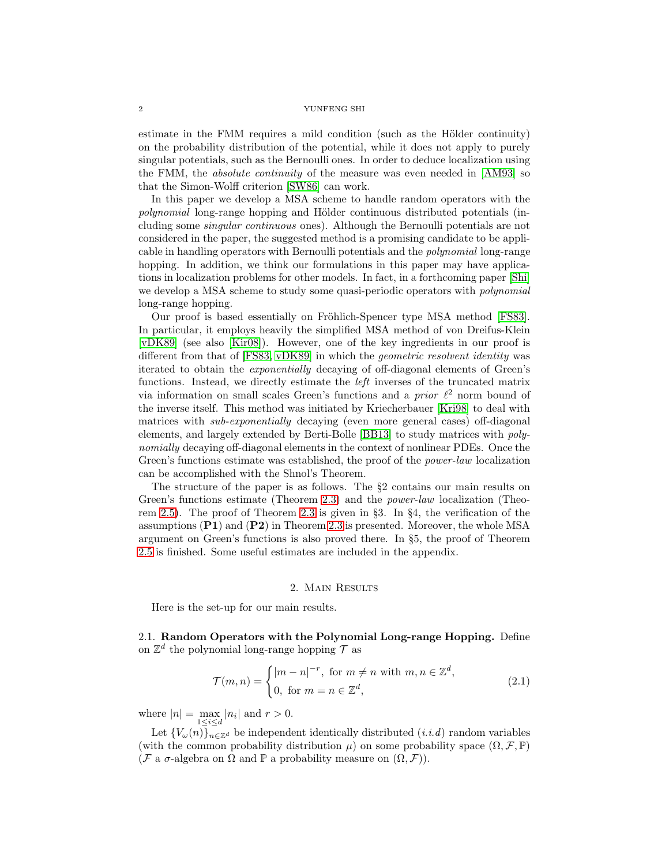estimate in the FMM requires a mild condition (such as the Hölder continuity) on the probability distribution of the potential, while it does not apply to purely singular potentials, such as the Bernoulli ones. In order to deduce localization using the FMM, the absolute continuity of the measure was even needed in [\[AM93\]](#page-19-7) so that the Simon-Wolff criterion [\[SW86\]](#page-20-1) can work.

In this paper we develop a MSA scheme to handle random operators with the polynomial long-range hopping and Hölder continuous distributed potentials (including some singular continuous ones). Although the Bernoulli potentials are not considered in the paper, the suggested method is a promising candidate to be applicable in handling operators with Bernoulli potentials and the polynomial long-range hopping. In addition, we think our formulations in this paper may have applications in localization problems for other models. In fact, in a forthcoming paper [\[Shi\]](#page-20-7) we develop a MSA scheme to study some quasi-periodic operators with polynomial long-range hopping.

Our proof is based essentially on Fröhlich-Spencer type MSA method [\[FS83\]](#page-19-1). In particular, it employs heavily the simplified MSA method of von Dreifus-Klein [\[vDK89\]](#page-20-2) (see also [\[Kir08\]](#page-20-8)). However, one of the key ingredients in our proof is different from that of [\[FS83,](#page-19-1) [vDK89\]](#page-20-2) in which the geometric resolvent identity was iterated to obtain the exponentially decaying of off-diagonal elements of Green's functions. Instead, we directly estimate the left inverses of the truncated matrix via information on small scales Green's functions and a *prior*  $\ell^2$  norm bound of the inverse itself. This method was initiated by Kriecherbauer [\[Kri98\]](#page-20-9) to deal with matrices with *sub-exponentially* decaying (even more general cases) off-diagonal elements, and largely extended by Berti-Bolle [\[BB13\]](#page-19-10) to study matrices with polynomially decaying off-diagonal elements in the context of nonlinear PDEs. Once the Green's functions estimate was established, the proof of the *power-law* localization can be accomplished with the Shnol's Theorem.

The structure of the paper is as follows. The §2 contains our main results on Green's functions estimate (Theorem [2.3\)](#page-3-0) and the power-law localization (Theorem [2.5\)](#page-4-0). The proof of Theorem [2.3](#page-3-0) is given in §3. In §4, the verification of the assumptions  $(P1)$  and  $(P2)$  in Theorem [2.3](#page-3-0) is presented. Moreover, the whole MSA argument on Green's functions is also proved there. In §5, the proof of Theorem [2.5](#page-4-0) is finished. Some useful estimates are included in the appendix.

## 2. Main Results

Here is the set-up for our main results.

2.1. Random Operators with the Polynomial Long-range Hopping. Define on  $\mathbb{Z}^d$  the polynomial long-range hopping  $\mathcal T$  as

$$
\mathcal{T}(m,n) = \begin{cases} |m-n|^{-r}, & \text{for } m \neq n \text{ with } m, n \in \mathbb{Z}^d, \\ 0, & \text{for } m = n \in \mathbb{Z}^d, \end{cases}
$$
(2.1)

where  $|n| = \max_{1 \le i \le d} |n_i|$  and  $r > 0$ .

Let  ${V_\omega(n)}_{n\in\mathbb{Z}^d}$  be independent identically distributed  $(i.i.d)$  random variables (with the common probability distribution  $\mu$ ) on some probability space  $(\Omega, \mathcal{F}, \mathbb{P})$ (F a  $\sigma$ -algebra on  $\Omega$  and  $\mathbb P$  a probability measure on  $(\Omega, \mathcal F)$ ).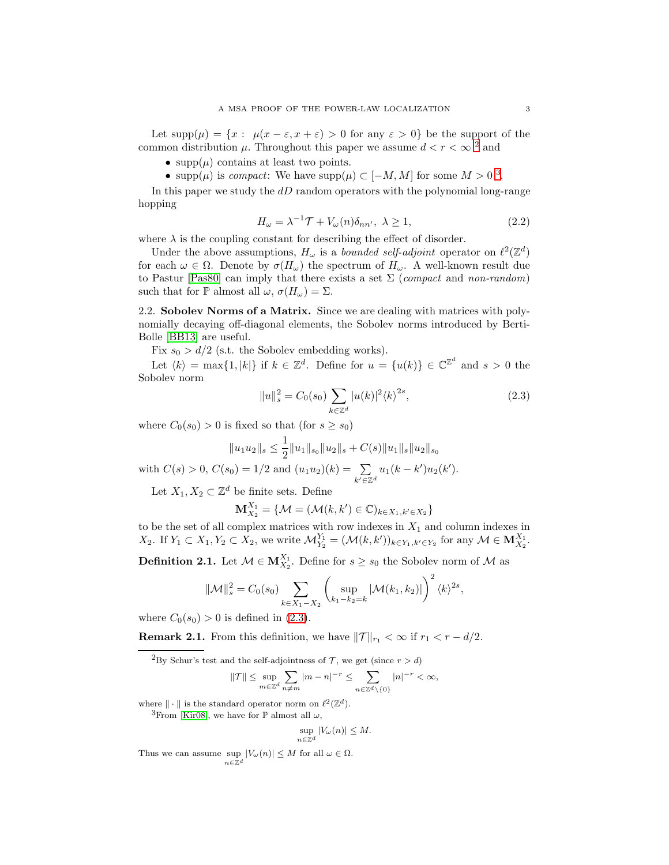Let  $supp(\mu) = \{x : \mu(x - \varepsilon, x + \varepsilon) > 0 \text{ for any } \varepsilon > 0\}$  be the support of the common distribution  $\mu$ . Throughout this paper we assume  $d < r < \infty$ <sup>[2](#page-2-0)</sup> and

• supp $(\mu)$  contains at least two points.

• supp $(\mu)$  is *compact*: We have supp $(\mu) \subset [-M, M]$  for some  $M > 0$ <sup>[3](#page-2-1)</sup>.

In this paper we study the  $dD$  random operators with the polynomial long-range hopping

<span id="page-2-3"></span>
$$
H_{\omega} = \lambda^{-1} \mathcal{T} + V_{\omega}(n) \delta_{nn'}, \ \lambda \ge 1,
$$
\n(2.2)

where  $\lambda$  is the coupling constant for describing the effect of disorder.

Under the above assumptions,  $H_{\omega}$  is a *bounded self-adjoint* operator on  $\ell^2(\mathbb{Z}^d)$ for each  $\omega \in \Omega$ . Denote by  $\sigma(H_{\omega})$  the spectrum of  $H_{\omega}$ . A well-known result due to Pastur [\[Pas80\]](#page-20-10) can imply that there exists a set  $\Sigma$  (compact and non-random) such that for  $\mathbb P$  almost all  $\omega$ ,  $\sigma(H_{\omega}) = \Sigma$ .

2.2. Sobolev Norms of a Matrix. Since we are dealing with matrices with polynomially decaying off-diagonal elements, the Sobolev norms introduced by Berti-Bolle [\[BB13\]](#page-19-10) are useful.

Fix  $s_0 > d/2$  (s.t. the Sobolev embedding works).

Let  $\langle k \rangle = \max\{1, |k|\}$  if  $k \in \mathbb{Z}^d$ . Define for  $u = \{u(k)\} \in \mathbb{C}^{\mathbb{Z}^d}$  and  $s > 0$  the Sobolev norm

$$
||u||_s^2 = C_0(s_0) \sum_{k \in \mathbb{Z}^d} |u(k)|^2 \langle k \rangle^{2s},
$$
\n(2.3)

where  $C_0(s_0) > 0$  is fixed so that (for  $s \geq s_0$ )

 $||u_1u_2||_s \leq \frac{1}{2}$  $\frac{1}{2}||u_1||_{s_0}||u_2||_s + C(s)||u_1||_s||u_2||_{s_0}$ with  $C(s) > 0$ ,  $C(s_0) = 1/2$  and  $(u_1u_2)(k) = \sum$  $u_1(k - k')u_2(k')$ .

Let  $X_1, X_2 \subset \mathbb{Z}^d$  be finite sets. Define

$$
\mathbf{M}_{X_2}^{X_1} = \{ \mathcal{M} = (\mathcal{M}(k, k') \in \mathbb{C})_{k \in X_1, k' \in X_2} \}
$$

<span id="page-2-2"></span> $k'\overline{\in}\mathbb{Z}^d$ 

to be the set of all complex matrices with row indexes in  $X_1$  and column indexes in  $X_2$ . If  $Y_1 \subset X_1, Y_2 \subset X_2$ , we write  $\mathcal{M}_{Y_2}^{Y_1} = (\mathcal{M}(k, k'))_{k \in Y_1, k' \in Y_2}$  for any  $\mathcal{M} \in \mathbf{M}_{X_2}^{X_1}$ .

<span id="page-2-4"></span>**Definition 2.1.** Let  $M \in M_{X_2}^{X_1}$ . Define for  $s \geq s_0$  the Sobolev norm of M as

$$
\|\mathcal{M}\|_{s}^{2} = C_{0}(s_{0}) \sum_{k \in X_{1} - X_{2}} \left( \sup_{k_{1} - k_{2} = k} |\mathcal{M}(k_{1}, k_{2})| \right)^{2} \langle k \rangle^{2s},
$$

where  $C_0(s_0) > 0$  is defined in [\(2.3\)](#page-2-2).

**Remark 2.1.** From this definition, we have  $||\mathcal{T}||_{r_1} < \infty$  if  $r_1 < r - d/2$ .

$$
\|\mathcal{T}\| \le \sup_{m \in \mathbb{Z}^d} \sum_{n \neq m} |m - n|^{-r} \le \sum_{n \in \mathbb{Z}^d \backslash \{0\}} |n|^{-r} < \infty,
$$

where  $\|\cdot\|$  is the standard operator norm on  $\ell^2(\mathbb{Z}^d)$ .

<span id="page-2-1"></span><sup>3</sup>From [\[Kir08\]](#page-20-8), we have for  $\mathbb P$  almost all  $\omega$ ,

$$
\sup_{n\in\mathbb{Z}^d} |V_\omega(n)| \le M.
$$

Thus we can assume sup  $|V_\omega(n)| \leq M$  for all  $\omega \in \Omega$ .  $n \in \mathbb{Z}^d$ 

<span id="page-2-0"></span><sup>&</sup>lt;sup>2</sup>By Schur's test and the self-adjointness of  $\mathcal{T}$ , we get (since  $r > d$ )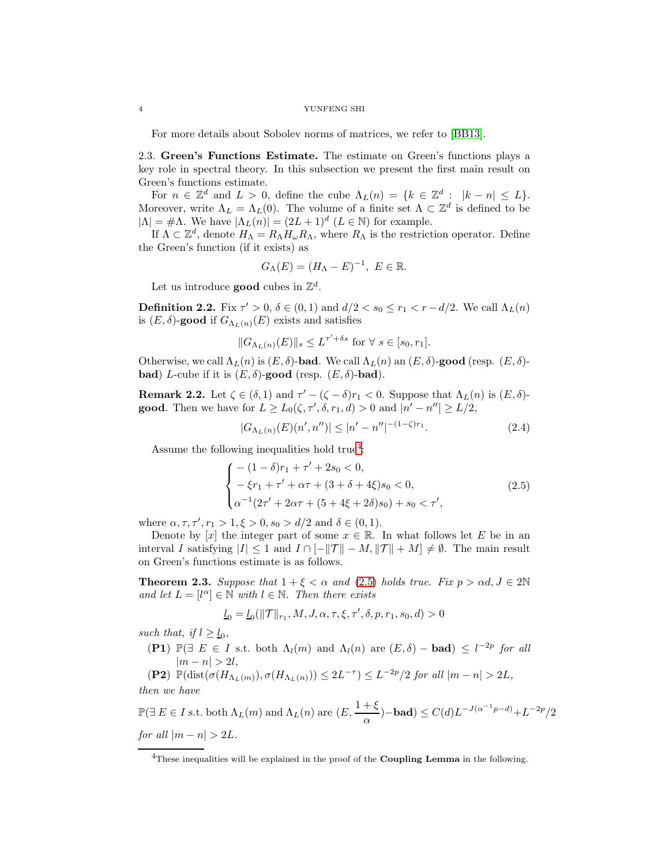For more details about Sobolev norms of matrices, we refer to [\[BB13\]](#page-19-10).

2.3. Green's Functions Estimate. The estimate on Green's functions plays a key role in spectral theory. In this subsection we present the first main result on Green's functions estimate.

For  $n \in \mathbb{Z}^d$  and  $L > 0$ , define the cube  $\Lambda_L(n) = \{k \in \mathbb{Z}^d : |k - n| \leq L\}.$ Moreover, write  $\Lambda_L = \Lambda_L(0)$ . The volume of a finite set  $\Lambda \subset \mathbb{Z}^d$  is defined to be  $|\Lambda| = \#\Lambda$ . We have  $|\Lambda_L(n)| = (2L+1)^d$   $(L \in \mathbb{N})$  for example.

If  $\Lambda \subset \mathbb{Z}^d$ , denote  $H_{\Lambda} = R_{\Lambda} H_{\omega} R_{\Lambda}$ , where  $R_{\Lambda}$  is the restriction operator. Define the Green's function (if it exists) as

$$
G_{\Lambda}(E) = (H_{\Lambda} - E)^{-1}, \ E \in \mathbb{R}.
$$

Let us introduce **good** cubes in  $\mathbb{Z}^d$ .

**Definition 2.2.** Fix  $\tau' > 0$ ,  $\delta \in (0,1)$  and  $d/2 < s_0 \le r_1 < r - d/2$ . We call  $\Lambda_L(n)$ is  $(E, \delta)$ -good if  $G_{\Lambda_L(n)}(E)$  exists and satisfies

$$
||G_{\Lambda_L(n)}(E)||_s \leq L^{\tau' + \delta s} \text{ for } \forall s \in [s_0, r_1].
$$

Otherwise, we call  $\Lambda_L(n)$  is  $(E, \delta)$ -bad. We call  $\Lambda_L(n)$  an  $(E, \delta)$ -good (resp.  $(E, \delta)$ **bad**) L-cube if it is  $(E, \delta)$ -good (resp.  $(E, \delta)$ -bad).

<span id="page-3-3"></span>**Remark 2.2.** Let  $\zeta \in (\delta, 1)$  and  $\tau' - (\zeta - \delta)r_1 < 0$ . Suppose that  $\Lambda_L(n)$  is  $(E, \delta)$ **good**. Then we have for  $L \ge L_0(\zeta, \tau', \delta, r_1, d) > 0$  and  $|n' - n''| \ge L/2$ ,

<span id="page-3-4"></span><span id="page-3-2"></span>
$$
|G_{\Lambda_L(n)}(E)(n',n'')| \le |n'-n''|^{-(1-\zeta)r_1}.\tag{2.4}
$$

Assume the following inequalities hold true<sup>[4](#page-3-1)</sup>:

$$
\begin{cases}\n-(1-\delta)r_1 + \tau' + 2s_0 < 0, \\
-\xi r_1 + \tau' + \alpha \tau + (3+\delta+4\xi)s_0 < 0, \\
\alpha^{-1}(2\tau' + 2\alpha \tau + (5+4\xi+2\delta)s_0) + s_0 < \tau',\n\end{cases}
$$
\n(2.5)

where  $\alpha, \tau, \tau', r_1 > 1, \xi > 0, s_0 > d/2$  and  $\delta \in (0, 1)$ .

Denote by [x] the integer part of some  $x \in \mathbb{R}$ . In what follows let E be in an interval I satisfying  $|I| \leq 1$  and  $I \cap [-||\mathcal{T}|| - M, ||\mathcal{T}|| + M] \neq \emptyset$ . The main result on Green's functions estimate is as follows.

<span id="page-3-0"></span>**Theorem 2.3.** Suppose that  $1 + \xi < \alpha$  and [\(2.5\)](#page-3-2) holds true. Fix  $p > \alpha d, J \in 2\mathbb{N}$ and let  $L = [l^{\alpha}] \in \mathbb{N}$  with  $l \in \mathbb{N}$ . Then there exists

$$
\underline{l}_0=\underline{l}_0(\|\mathcal{T}\|_{r_1},M,J,\alpha,\tau,\xi,\tau',\delta,p,r_1,s_0,d)>0
$$

such that, if  $l \geq l_0$ ,

(P1)  $\mathbb{P}(\exists E \in I \text{ s.t. both } \Lambda_l(m) \text{ and } \Lambda_l(n) \text{ are } (E, \delta) - \text{bad}) \leq l^{-2p}$  for all  $|m - n| > 2l,$ 

(P2) 
$$
\mathbb{P}(\text{dist}(\sigma(H_{\Lambda_L(m)}), \sigma(H_{\Lambda_L(n)})) \leq 2L^{-\tau}) \leq L^{-2p}/2
$$
 for all  $|m - n| > 2L$ ,  
then we have

then we have

$$
\mathbb{P}(\exists E \in I \text{ s.t. both } \Lambda_L(m) \text{ and } \Lambda_L(n) \text{ are } (E, \frac{1+\xi}{\alpha})-\text{bad}) \le C(d)L^{-J(\alpha^{-1}p-d)} + L^{-2p}/2
$$
  
for all  $|m-n| > 2L$ .

<span id="page-3-1"></span> $4$ These inequalities will be explained in the proof of the Coupling Lemma in the following.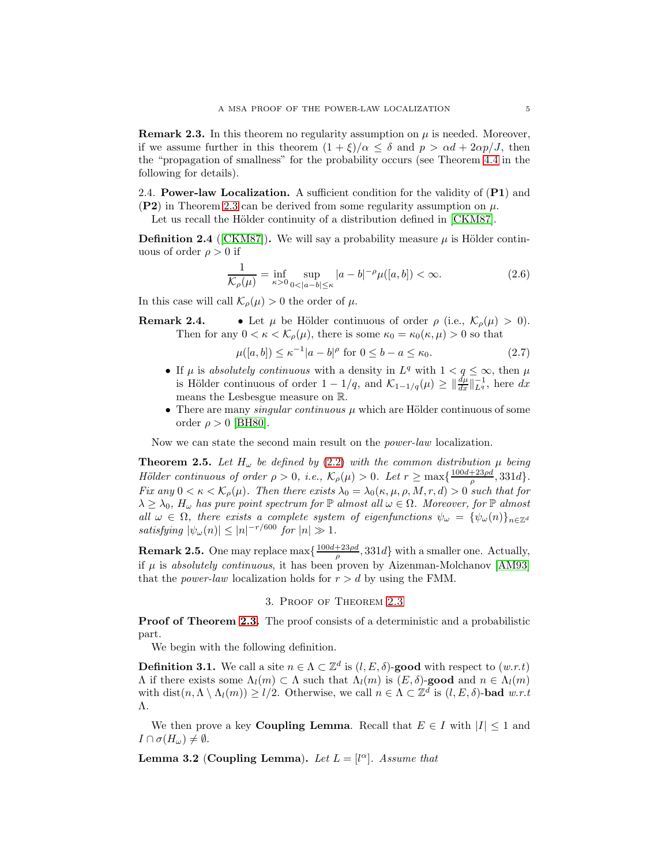**Remark 2.3.** In this theorem no regularity assumption on  $\mu$  is needed. Moreover, if we assume further in this theorem  $(1 + \xi)/\alpha \leq \delta$  and  $p > \alpha d + 2\alpha p/J$ , then the "propagation of smallness" for the probability occurs (see Theorem [4.4](#page-15-0) in the following for details).

2.4. **Power-law Localization.** A sufficient condition for the validity of  $(PI)$  and  $(P2)$  in Theorem [2.3](#page-3-0) can be derived from some regularity assumption on  $\mu$ .

Let us recall the Hölder continuity of a distribution defined in [\[CKM87\]](#page-19-4).

**Definition 2.4** ([\[CKM87\]](#page-19-4)). We will say a probability measure  $\mu$  is Hölder continuous of order  $\rho > 0$  if

$$
\frac{1}{\mathcal{K}_{\rho}(\mu)} = \inf_{\kappa > 0} \sup_{0 < |a - b| \le \kappa} |a - b|^{-\rho} \mu([a, b]) < \infty. \tag{2.6}
$$

In this case will call  $\mathcal{K}_{\rho}(\mu) > 0$  the order of  $\mu$ .

**Remark 2.4.** • Let  $\mu$  be Hölder continuous of order  $\rho$  (i.e.,  $\mathcal{K}_{\rho}(\mu) > 0$ ). Then for any  $0 < \kappa < \mathcal{K}_{\rho}(\mu)$ , there is some  $\kappa_0 = \kappa_0(\kappa, \mu) > 0$  so that

<span id="page-4-2"></span>
$$
\mu([a, b]) \le \kappa^{-1} |a - b|^\rho \text{ for } 0 \le b - a \le \kappa_0. \tag{2.7}
$$

- If  $\mu$  is absolutely continuous with a density in  $L^q$  with  $1 < q \leq \infty$ , then  $\mu$ is Hölder continuous of order  $1 - 1/q$ , and  $\mathcal{K}_{1-1/q}(\mu) \geq \|\frac{d\mu}{dx}\|_{L^q}^{-1}$ , here  $dx$ means the Lesbesgue measure on R.
- There are many *singular continuous*  $\mu$  which are Hölder continuous of some order  $\rho > 0$  [\[BH80\]](#page-19-11).

Now we can state the second main result on the power-law localization.

<span id="page-4-0"></span>**Theorem 2.5.** Let  $H_{\omega}$  be defined by [\(2](#page-2-3).2) with the common distribution  $\mu$  being Hölder continuous of order  $\rho > 0$ , i.e.,  $\mathcal{K}_{\rho}(\mu) > 0$ . Let  $r \ge \max\{\frac{100d + 23\rho d}{\rho}, 331d\}.$ Fix any  $0 < \kappa < \mathcal{K}_{\rho}(\mu)$ . Then there exists  $\lambda_0 = \lambda_0(\kappa, \mu, \rho, M, r, d) > 0$  such that for  $\lambda \geq \lambda_0$ ,  $H_{\omega}$  has pure point spectrum for  $\mathbb P$  almost all  $\omega \in \Omega$ . Moreover, for  $\mathbb P$  almost all  $\omega \in \Omega$ , there exists a complete system of eigenfunctions  $\psi_{\omega} = {\psi_{\omega}(n)}_{n \in \mathbb{Z}^d}$ satisfying  $|\psi_{\omega}(n)| \leq |n|^{-r/600}$  for  $|n| \gg 1$ .

**Remark 2.5.** One may replace  $\max{\frac{100d+23pd}{\rho}},331d\}$  with a smaller one. Actually, if  $\mu$  is absolutely continuous, it has been proven by Aizenman-Molchanov [\[AM93\]](#page-19-7) that the *power-law* localization holds for  $r > d$  by using the FMM.

# 3. Proof of Theorem [2.3](#page-3-0)

**Proof of Theorem [2.3.](#page-3-0)** The proof consists of a deterministic and a probabilistic part.

We begin with the following definition.

**Definition 3.1.** We call a site  $n \in \Lambda \subset \mathbb{Z}^d$  is  $(l, E, \delta)$ -good with respect to  $(w.r.t)$  $\Lambda$  if there exists some  $\Lambda_l(m) \subset \Lambda$  such that  $\Lambda_l(m)$  is  $(E, \delta)$ -good and  $n \in \Lambda_l(m)$ with  $dist(n, \Lambda \setminus \Lambda_l(m)) \geq l/2$ . Otherwise, we call  $n \in \Lambda \subset \mathbb{Z}^d$  is  $(l, E, \delta)$ -bad  $w.r.t$ Λ.

We then prove a key **Coupling Lemma**. Recall that  $E \in I$  with  $|I| \leq 1$  and  $I \cap \sigma(H_\omega) \neq \emptyset$ .

<span id="page-4-1"></span>**Lemma 3.2** (Coupling Lemma). Let  $L = [l^{\alpha}]$ . Assume that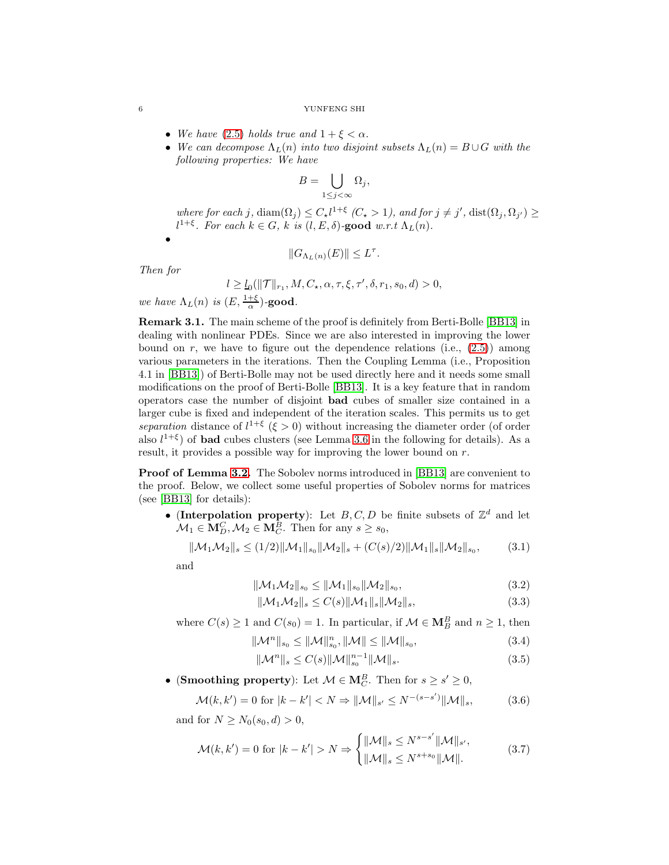- We have [\(2.5\)](#page-3-2) holds true and  $1 + \xi < \alpha$ .
- We can decompose  $\Lambda_L(n)$  into two disjoint subsets  $\Lambda_L(n) = B \cup G$  with the following properties: We have

$$
B=\bigcup_{1\leq j<\infty}\Omega_j,
$$

where for each j,  $\text{diam}(\Omega_j) \leq C_{\star} l^{1+\xi}$   $(C_{\star} > 1)$ , and for  $j \neq j'$ ,  $\text{dist}(\Omega_j, \Omega_{j'}) \geq$  $l^{1+\xi}$ . For each  $k \in G$ , k is  $(l, E, \delta)$ -good w.r.t  $\Lambda_L(n)$ .

$$
||G_{\Lambda_L(n)}(E)|| \le L^{\tau}.
$$

Then for

•

$$
l\geq \underline{l}_0(\|\mathcal{T}\|_{r_1},M,C_\star,\alpha,\tau,\xi,\tau',\delta,r_1,s_0,d)>0,
$$

we have  $\Lambda_L(n)$  is  $(E, \frac{1+\xi}{\alpha})$ -good.

Remark 3.1. The main scheme of the proof is definitely from Berti-Bolle [\[BB13\]](#page-19-10) in dealing with nonlinear PDEs. Since we are also interested in improving the lower bound on  $r$ , we have to figure out the dependence relations (i.e.,  $(2.5)$ ) among various parameters in the iterations. Then the Coupling Lemma (i.e., Proposition 4.1 in [\[BB13\]](#page-19-10)) of Berti-Bolle may not be used directly here and it needs some small modifications on the proof of Berti-Bolle [\[BB13\]](#page-19-10). It is a key feature that in random operators case the number of disjoint bad cubes of smaller size contained in a larger cube is fixed and independent of the iteration scales. This permits us to get separation distance of  $l^{1+\xi}$  ( $\xi > 0$ ) without increasing the diameter order (of order also  $l^{1+\xi}$ ) of **bad** cubes clusters (see Lemma [3.6](#page-11-0) in the following for details). As a result, it provides a possible way for improving the lower bound on r.

**Proof of Lemma [3.2.](#page-4-1)** The Sobolev norms introduced in [\[BB13\]](#page-19-10) are convenient to the proof. Below, we collect some useful properties of Sobolev norms for matrices (see [\[BB13\]](#page-19-10) for details):

• (Interpolation property): Let B, C, D be finite subsets of  $\mathbb{Z}^d$  and let  $\mathcal{M}_1 \in \mathbf{M}_{D}^C, \mathcal{M}_2 \in \mathbf{M}_{C}^B$ . Then for any  $s \geq s_0$ ,

$$
\|\mathcal{M}_1\mathcal{M}_2\|_s \le (1/2) \|\mathcal{M}_1\|_{s_0} \|\mathcal{M}_2\|_s + (C(s)/2) \|\mathcal{M}_1\|_s \|\mathcal{M}_2\|_{s_0},\tag{3.1}
$$

and

<span id="page-5-4"></span><span id="page-5-1"></span><span id="page-5-0"></span>
$$
\|\mathcal{M}_1 \mathcal{M}_2\|_{s_0} \le \|\mathcal{M}_1\|_{s_0} \|\mathcal{M}_2\|_{s_0},\tag{3.2}
$$

$$
\|\mathcal{M}_1 \mathcal{M}_2\|_s \le C(s) \|\mathcal{M}_1\|_s \|\mathcal{M}_2\|_s,
$$
\n(3.3)

where  $C(s) \ge 1$  and  $C(s_0) = 1$ . In particular, if  $\mathcal{M} \in \mathbf{M}_{B}^{B}$  and  $n \ge 1$ , then

$$
\|\mathcal{M}^n\|_{s_0} \le \|\mathcal{M}\|_{s_0}^n, \|\mathcal{M}\| \le \|\mathcal{M}\|_{s_0},\tag{3.4}
$$

<span id="page-5-5"></span><span id="page-5-3"></span><span id="page-5-2"></span>
$$
\|\mathcal{M}^n\|_{s} \le C(s) \|\mathcal{M}\|_{s_0}^{n-1} \|\mathcal{M}\|_{s}.
$$
\n(3.5)

• (Smoothing property): Let  $\mathcal{M} \in \mathbf{M}_{C}^{B}$ . Then for  $s \geq s' \geq 0$ ,

$$
\mathcal{M}(k,k') = 0 \text{ for } |k - k'| < N \Rightarrow \|\mathcal{M}\|_{s'} \le N^{-(s-s')} \|\mathcal{M}\|_{s},\tag{3.6}
$$

and for  $N \ge N_0(s_0, d) > 0$ ,

$$
\mathcal{M}(k, k') = 0 \text{ for } |k - k'| > N \Rightarrow \begin{cases} ||\mathcal{M}||_s \le N^{s - s'} ||\mathcal{M}||_s', \\ ||\mathcal{M}||_s \le N^{s + s_0} ||\mathcal{M}||. \end{cases}
$$
(3.7)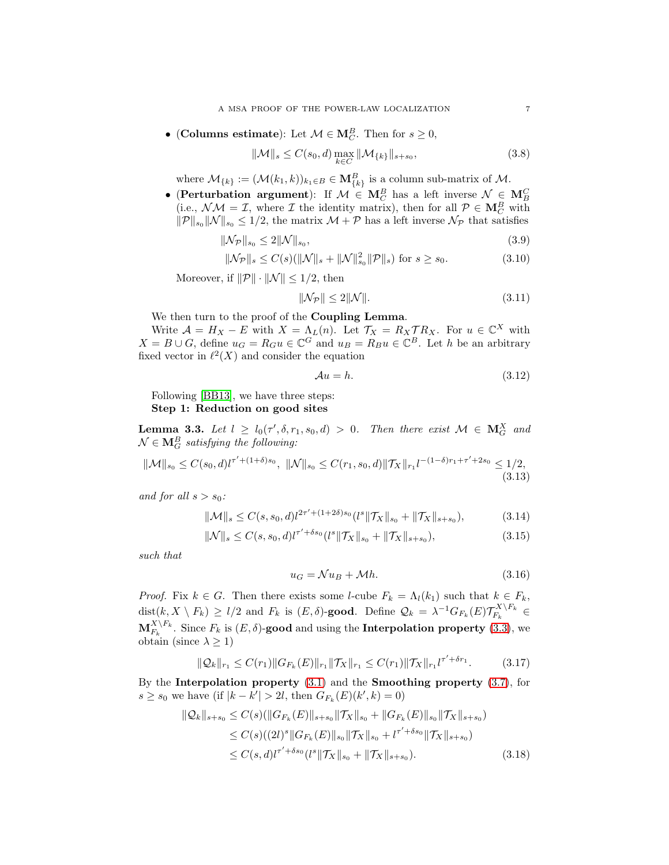• (Columns estimate): Let  $\mathcal{M} \in \mathbf{M}_{C}^{B}$ . Then for  $s \geq 0$ ,

$$
\|\mathcal{M}\|_{s} \le C(s_0, d) \max_{k \in C} \|\mathcal{M}_{\{k\}}\|_{s+s_0},\tag{3.8}
$$

where  $\mathcal{M}_{\{k\}} := (\mathcal{M}(k_1, k))_{k_1 \in B} \in \mathbf{M}_{\{k\}}^B$  is a column sub-matrix of  $\mathcal{M}$ .

• (Perturbation argument): If  $M \in M_C^B$  has a left inverse  $\mathcal{N} \in M_B^C$ (i.e.,  $\mathcal{N}\mathcal{M} = \mathcal{I}$ , where  $\mathcal{I}$  the identity matrix), then for all  $\mathcal{P} \in \mathbf{M}_{C}^{B}$  with  $\|\mathcal{P}\|_{s_0} \|\mathcal{N}\|_{s_0} \leq 1/2$ , the matrix  $\mathcal{M} + \mathcal{P}$  has a left inverse  $\mathcal{N}_{\mathcal{P}}$  that satisfies

$$
\|\mathcal{N}_{\mathcal{P}}\|_{s_0} \le 2\|\mathcal{N}\|_{s_0},\tag{3.9}
$$

$$
\|\mathcal{N}_{\mathcal{P}}\|_{s} \le C(s) (\|\mathcal{N}\|_{s} + \|\mathcal{N}\|_{s_0}^2 \|\mathcal{P}\|_{s}) \text{ for } s \ge s_0.
$$
 (3.10)

Moreover, if  $\|\mathcal{P}\| \cdot \|\mathcal{N}\| \leq 1/2$ , then

<span id="page-6-7"></span><span id="page-6-5"></span><span id="page-6-4"></span><span id="page-6-1"></span>
$$
\|\mathcal{N}_{\mathcal{P}}\| \le 2\|\mathcal{N}\|.\tag{3.11}
$$

We then turn to the proof of the Coupling Lemma.

Write  $\mathcal{A} = H_X - E$  with  $X = \Lambda_L(n)$ . Let  $\mathcal{T}_X = R_X \mathcal{T} R_X$ . For  $u \in \mathbb{C}^X$  with  $X = B \cup G$ , define  $u_G = R_G u \in \mathbb{C}^G$  and  $u_B = R_B u \in \mathbb{C}^B$ . Let h be an arbitrary fixed vector in  $\ell^2(X)$  and consider the equation

<span id="page-6-6"></span><span id="page-6-0"></span>
$$
\mathcal{A}u = h. \tag{3.12}
$$

Following [\[BB13\]](#page-19-10), we have three steps: Step 1: Reduction on good sites

**Lemma 3.3.** Let  $l \geq l_0(\tau', \delta, r_1, s_0, d) > 0$ . Then there exist  $\mathcal{M} \in \mathbf{M}_G^X$  and  $\mathcal{N}\in \mathbf{M}_{G}^{B}$  satisfying the following:

$$
\|\mathcal{M}\|_{s_0} \le C(s_0, d) l^{\tau' + (1+\delta)s_0}, \ \|\mathcal{N}\|_{s_0} \le C(r_1, s_0, d) \|\mathcal{T}_X\|_{r_1} l^{-(1-\delta)r_1 + \tau' + 2s_0} \le 1/2,
$$
\n(3.13)

and for all  $s > s_0$ :

$$
\|\mathcal{M}\|_{s} \le C(s, s_0, d) l^{2\tau' + (1+2\delta)s_0} (l^s \|\mathcal{T}_X\|_{s_0} + \|\mathcal{T}_X\|_{s+s_0}),\tag{3.14}
$$

$$
\|\mathcal{N}\|_{s} \le C(s, s_0, d) l^{\tau' + \delta s_0} (l^s \|\mathcal{T}_X\|_{s_0} + \|\mathcal{T}_X\|_{s + s_0}),
$$
\n(3.15)

such that

<span id="page-6-8"></span><span id="page-6-3"></span><span id="page-6-2"></span>
$$
u_G = \mathcal{N}u_B + \mathcal{M}h. \tag{3.16}
$$

*Proof.* Fix  $k \in G$ . Then there exists some *l*-cube  $F_k = \Lambda_l(k_1)$  such that  $k \in F_k$ , dist $(k, X \setminus F_k) \ge l/2$  and  $F_k$  is  $(E, \delta)$ -good. Define  $\mathcal{Q}_k = \lambda^{-1} G_{F_k}(E) \mathcal{T}_{F_k}^{X \setminus F_k}$  $\frac{1}{F_k}$ <sup> $\frac{1}{F_k}$ </sup>  $\in$  $\mathbf{M}_{F_k}^{X \setminus F_k}$ . Since  $F_k$  is  $(E, \delta)$ -good and using the **Interpolation property** [\(3.3\)](#page-5-0), we obtain (since  $\lambda \geq 1$ )

$$
\|\mathcal{Q}_k\|_{r_1} \le C(r_1) \|G_{F_k}(E)\|_{r_1} \|\mathcal{T}_X\|_{r_1} \le C(r_1) \|\mathcal{T}_X\|_{r_1} l^{\tau' + \delta r_1}.
$$
 (3.17)

By the Interpolation property [\(3.1\)](#page-5-1) and the Smoothing property [\(3.7\)](#page-5-2), for  $s \geq s_0$  we have (if |k − k'| > 2l, then  $G_{F_k}(E)(k', k) = 0$ )

$$
\|Q_k\|_{s+s_0} \le C(s) (\|G_{F_k}(E)\|_{s+s_0} \|\mathcal{T}_X\|_{s_0} + \|G_{F_k}(E)\|_{s_0} \|\mathcal{T}_X\|_{s+s_0})
$$
  
\n
$$
\le C(s) ((2l)^s \|G_{F_k}(E)\|_{s_0} \|\mathcal{T}_X\|_{s_0} + l^{\tau'+\delta s_0} \|\mathcal{T}_X\|_{s+s_0})
$$
  
\n
$$
\le C(s,d) l^{\tau'+\delta s_0} (l^s \|\mathcal{T}_X\|_{s_0} + \|\mathcal{T}_X\|_{s+s_0}).
$$
\n(3.18)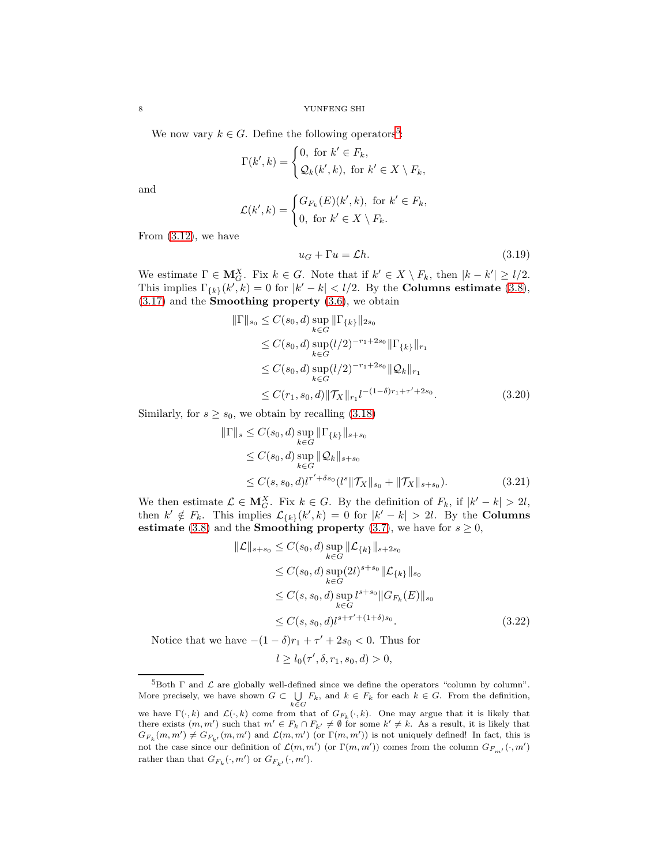We now vary  $k \in G$ . Define the following operators<sup>[5](#page-7-0)</sup>:

$$
\Gamma(k',k) = \begin{cases} 0, \text{ for } k' \in F_k, \\ \mathcal{Q}_k(k',k), \text{ for } k' \in X \setminus F_k, \end{cases}
$$

and

$$
\mathcal{L}(k',k) = \begin{cases} G_{F_k}(E)(k',k), & \text{for } k' \in F_k, \\ 0, & \text{for } k' \in X \setminus F_k. \end{cases}
$$

From [\(3.12\)](#page-6-0), we have

<span id="page-7-2"></span><span id="page-7-1"></span>
$$
u_G + \Gamma u = \mathcal{L}h. \tag{3.19}
$$

We estimate  $\Gamma \in \mathbf{M}_G^X$ . Fix  $k \in G$ . Note that if  $k' \in X \setminus F_k$ , then  $|k - k'| \geq l/2$ . This implies  $\Gamma_{\{k\}}(k',k) = 0$  for  $|k'-k| < l/2$ . By the **Columns estimate** [\(3.8\)](#page-6-1),  $(3.17)$  and the **Smoothing property**  $(3.6)$ , we obtain

$$
\|\Gamma\|_{s_0} \le C(s_0, d) \sup_{k \in G} \|\Gamma_{\{k\}}\|_{2s_0}
$$
  
\n
$$
\le C(s_0, d) \sup_{k \in G} (l/2)^{-r_1+2s_0} \|\Gamma_{\{k\}}\|_{r_1}
$$
  
\n
$$
\le C(s_0, d) \sup_{k \in G} (l/2)^{-r_1+2s_0} \|\mathcal{Q}_k\|_{r_1}
$$
  
\n
$$
\le C(r_1, s_0, d) \|\mathcal{T}_X\|_{r_1} l^{-(1-\delta)r_1+\tau'+2s_0}.
$$
\n(3.20)

Similarly, for  $s \geq s_0$ , we obtain by recalling [\(3.18\)](#page-6-3)

$$
\|\Gamma\|_{s} \leq C(s_0, d) \sup_{k \in G} \|\Gamma_{\{k\}}\|_{s+s_0}
$$
  
\n
$$
\leq C(s_0, d) \sup_{k \in G} \|\mathcal{Q}_k\|_{s+s_0}
$$
  
\n
$$
\leq C(s, s_0, d) t^{\tau' + \delta s_0} (l^s \|\mathcal{T}_X\|_{s_0} + \|\mathcal{T}_X\|_{s+s_0}).
$$
\n(3.21)

We then estimate  $\mathcal{L} \in \mathbf{M}_{G}^X$ . Fix  $k \in G$ . By the definition of  $F_k$ , if  $|k'-k| > 2l$ , then  $k' \notin F_k$ . This implies  $\mathcal{L}_{\{k\}}(k',k) = 0$  for  $|k'-k| > 2l$ . By the **Columns** estimate [\(3.8\)](#page-6-1) and the **Smoothing property** [\(3.7\)](#page-5-2), we have for  $s \geq 0$ ,

<span id="page-7-3"></span>
$$
\|\mathcal{L}\|_{s+s_0} \le C(s_0, d) \sup_{k \in G} \|\mathcal{L}_{\{k\}}\|_{s+2s_0}
$$
  
\n
$$
\le C(s_0, d) \sup_{k \in G} (2l)^{s+s_0} \|\mathcal{L}_{\{k\}}\|_{s_0}
$$
  
\n
$$
\le C(s, s_0, d) \sup_{k \in G} l^{s+s_0} \|G_{F_k}(E)\|_{s_0}
$$
  
\n
$$
\le C(s, s_0, d) l^{s+r'+(1+\delta)s_0}.
$$
\n(3.22)

Notice that we have  $-(1 - \delta)r_1 + \tau' + 2s_0 < 0$ . Thus for

<span id="page-7-4"></span>
$$
l \ge l_0(\tau', \delta, r_1, s_0, d) > 0,
$$

<span id="page-7-0"></span> ${}^{5}$ Both  $\Gamma$  and  $\mathcal L$  are globally well-defined since we define the operators "column by column". More precisely, we have shown  $G \subset \bigcup_{k \in G} F_k$ , and  $k \in F_k$  for each  $k \in G$ . From the definition, we have  $\Gamma(\cdot, k)$  and  $\mathcal{L}(\cdot, k)$  come from that of  $G_{F_k}(\cdot, k)$ . One may argue that it is likely that there exists  $(m, m')$  such that  $m' \in F_k \cap F_{k'} \neq \emptyset$  for some  $k' \neq k$ . As a result, it is likely that  $G_{F_k}(m, m') \neq G_{F_{k'}}(m, m')$  and  $\mathcal{L}(m, m')$  (or  $\Gamma(m, m')$ ) is not uniquely defined! In fact, this is not the case since our definition of  $\mathcal{L}(m, m')$  (or  $\Gamma(m, m'))$  comes from the column  $G_{F_{m'}}(\cdot, m')$ rather than that  $G_{F_k}(\cdot, m')$  or  $G_{F_{k'}}(\cdot, m')$ .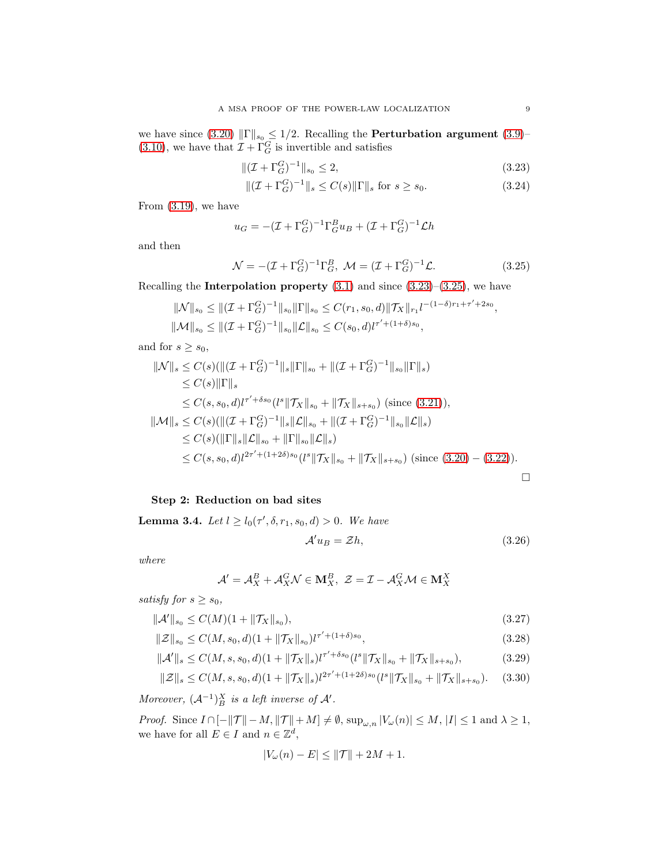we have since [\(3.20\)](#page-7-1)  $\|\Gamma\|_{s_0} \leq 1/2$ . Recalling the **Perturbation argument** [\(3.9\)](#page-6-4)–  $(3.10)$ , we have that  $\mathcal{I} + \Gamma_G^G$  is invertible and satisfies

$$
\| (\mathcal{I} + \Gamma_G^G)^{-1} \|_{s_0} \le 2,\tag{3.23}
$$

<span id="page-8-1"></span><span id="page-8-0"></span>
$$
\| (\mathcal{I} + \Gamma_G^G)^{-1} \|_s \le C(s) \| \Gamma \|_s \text{ for } s \ge s_0.
$$
 (3.24)

From [\(3.19\)](#page-7-2), we have

$$
u_G = -(\mathcal{I} + \Gamma_G^G)^{-1} \Gamma_G^B u_B + (\mathcal{I} + \Gamma_G^G)^{-1} \mathcal{L}h
$$

and then

$$
\mathcal{N} = -(\mathcal{I} + \Gamma_G^G)^{-1} \Gamma_G^B, \ \mathcal{M} = (\mathcal{I} + \Gamma_G^G)^{-1} \mathcal{L}.
$$
 (3.25)

Recalling the **Interpolation property**  $(3.1)$  and since  $(3.23)$ – $(3.25)$ , we have

$$
\|\mathcal{N}\|_{s_0} \le \|(\mathcal{I} + \Gamma_G^{G})^{-1}\|_{s_0}\|\Gamma\|_{s_0} \le C(r_1, s_0, d)\|\mathcal{T}_X\|_{r_1} l^{-(1-\delta)r_1 + \tau' + 2s_0},
$$
  

$$
\|\mathcal{M}\|_{s_0} \le \|(\mathcal{I} + \Gamma_G^{G})^{-1}\|_{s_0}\|\mathcal{L}\|_{s_0} \le C(s_0, d)l^{\tau' + (1+\delta)s_0},
$$

and for  $s \geq s_0$ ,

$$
\|N\|_{s} \leq C(s) (\|(I + \Gamma_{G}^{C})^{-1}\|_{s} \|\Gamma\|_{s_{0}} + \|(\mathcal{I} + \Gamma_{G}^{C})^{-1}\|_{s_{0}} \|\Gamma\|_{s})
$$
  
\n
$$
\leq C(s) \|\Gamma\|_{s}
$$
  
\n
$$
\leq C(s, s_{0}, d) l^{\tau' + \delta s_{0}} (l^{s} \|\mathcal{T}_{X}\|_{s_{0}} + \|\mathcal{T}_{X}\|_{s+s_{0}}) \text{ (since (3.21)),}
$$
  
\n
$$
\|\mathcal{M}\|_{s} \leq C(s) (\|(\mathcal{I} + \Gamma_{G}^{C})^{-1}\|_{s} \|\mathcal{L}\|_{s_{0}} + \|(\mathcal{I} + \Gamma_{G}^{C})^{-1}\|_{s_{0}} \|\mathcal{L}\|_{s})
$$
  
\n
$$
\leq C(s) (\|\Gamma\|_{s} \|\mathcal{L}\|_{s_{0}} + \|\Gamma\|_{s_{0}} \|\mathcal{L}\|_{s})
$$
  
\n
$$
\leq C(s, s_{0}, d) l^{2\tau' + (1+2\delta)s_{0}} (l^{s} \|\mathcal{T}_{X}\|_{s_{0}} + \|\mathcal{T}_{X}\|_{s+s_{0}}) \text{ (since (3.20) – (3.22)).}
$$

# Step 2: Reduction on bad sites

**Lemma 3.4.** Let  $l \ge l_0(\tau', \delta, r_1, s_0, d) > 0$ . We have

<span id="page-8-4"></span><span id="page-8-3"></span><span id="page-8-2"></span>
$$
\mathcal{A}'u_B = \mathcal{Z}h,\tag{3.26}
$$

where

$$
\mathcal{A}' = \mathcal{A}_X^B + \mathcal{A}_X^G \mathcal{N} \in \mathbf{M}_X^B, \ \mathcal{Z} = \mathcal{I} - \mathcal{A}_X^G \mathcal{M} \in \mathbf{M}_X^X
$$

satisfy for  $s \geq s_0$ ,

$$
\|\mathcal{A}'\|_{s_0} \le C(M)(1 + \|\mathcal{T}_X\|_{s_0}),\tag{3.27}
$$

$$
\|\mathcal{Z}\|_{s_0} \le C(M, s_0, d)(1 + \|\mathcal{T}_X\|_{s_0}) l^{\tau' + (1+\delta)s_0},\tag{3.28}
$$

$$
\|\mathcal{A}'\|_{s} \le C(M, s, s_0, d)(1 + \|\mathcal{T}_X\|_{s})t^{\tau' + \delta s_0} (l^s \|\mathcal{T}_X\|_{s_0} + \|\mathcal{T}_X\|_{s + s_0}),
$$
(3.29)

$$
\|\mathcal{Z}\|_{s} \le C(M, s, s_0, d)(1 + \|\mathcal{T}_X\|_{s}) l^{2\tau' + (1+2\delta)s_0} (l^s \|\mathcal{T}_X\|_{s_0} + \|\mathcal{T}_X\|_{s+s_0}). \tag{3.30}
$$

Moreover,  $(\mathcal{A}^{-1})_B^X$  is a left inverse of  $\mathcal{A}'$ .

*Proof.* Since  $I \cap [-\Vert \mathcal{T} \Vert -M, \Vert \mathcal{T} \Vert +M] \neq \emptyset$ ,  $\sup_{\omega,n} |V_{\omega}(n)| \leq M, |I| \leq 1$  and  $\lambda \geq 1$ , we have for all  $E \in I$  and  $n \in \mathbb{Z}^d$ ,

$$
|V_{\omega}(n) - E| \le ||\mathcal{T}|| + 2M + 1.
$$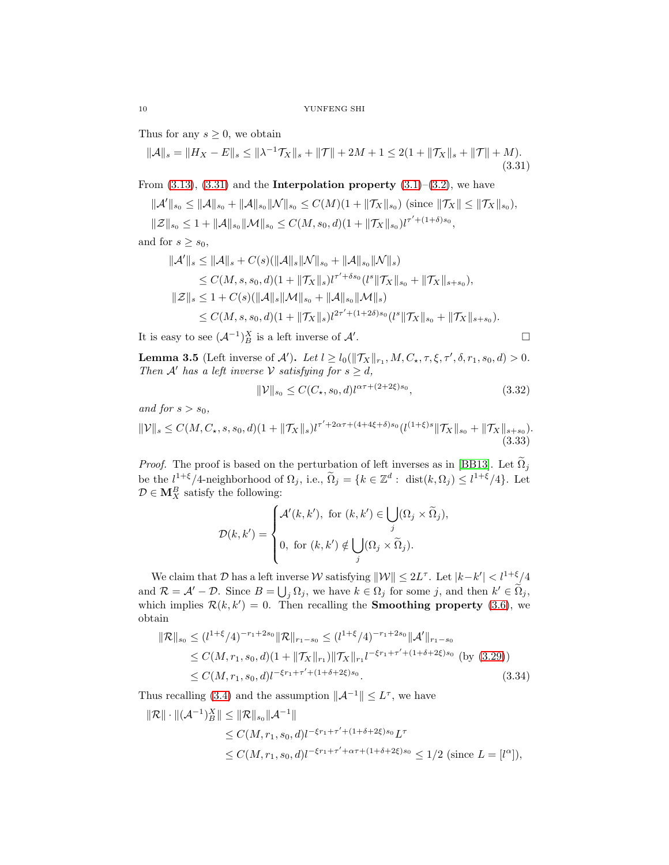Thus for any  $s \geq 0$ , we obtain

$$
\|\mathcal{A}\|_{s} = \|H_X - E\|_{s} \le \|\lambda^{-1}\mathcal{T}_X\|_{s} + \|\mathcal{T}\| + 2M + 1 \le 2(1 + \|\mathcal{T}_X\|_{s} + \|\mathcal{T}\| + M). \tag{3.31}
$$

From  $(3.13)$ ,  $(3.31)$  and the **Interpolation property**  $(3.1)$ – $(3.2)$ , we have

$$
\|\mathcal{A}'\|_{s_0} \le \|\mathcal{A}\|_{s_0} + \|\mathcal{A}\|_{s_0} \|\mathcal{N}\|_{s_0} \le C(M)(1 + \|\mathcal{T}_X\|_{s_0}) \text{ (since } \|\mathcal{T}_X\| \le \|\mathcal{T}_X\|_{s_0}),
$$
  

$$
\|\mathcal{Z}\|_{s_0} \le 1 + \|\mathcal{A}\|_{s_0} \|\mathcal{M}\|_{s_0} \le C(M, s_0, d)(1 + \|\mathcal{T}_X\|_{s_0}) l^{\tau' + (1 + \delta)s_0},
$$

and for  $s \geq s_0$ ,

$$
\begin{aligned} \|\mathcal{A}'\|_{s} &\leq \|\mathcal{A}\|_{s} + C(s)(\|\mathcal{A}\|_{s}\|\mathcal{N}\|_{s_{0}} + \|\mathcal{A}\|_{s_{0}}\|\mathcal{N}\|_{s}) \\ &\leq C(M, s, s_{0}, d)(1 + \|\mathcal{T}_{X}\|_{s})l^{\tau' + \delta s_{0}}(l^{s}\|\mathcal{T}_{X}\|_{s_{0}} + \|\mathcal{T}_{X}\|_{s + s_{0}}), \\ \|\mathcal{Z}\|_{s} &\leq 1 + C(s)(\|\mathcal{A}\|_{s}\|\mathcal{M}\|_{s_{0}} + \|\mathcal{A}\|_{s_{0}}\|\mathcal{M}\|_{s}) \\ &\leq C(M, s, s_{0}, d)(1 + \|\mathcal{T}_{X}\|_{s})l^{2\tau' + (1 + 2\delta)s_{0}}(l^{s}\|\mathcal{T}_{X}\|_{s_{0}} + \|\mathcal{T}_{X}\|_{s + s_{0}}). \end{aligned}
$$

It is easy to see  $(\mathcal{A}^{-1})_B^X$  is a left inverse of  $\mathcal{A}'$ 

<span id="page-9-2"></span><span id="page-9-0"></span>
$$
\Box
$$

**Lemma 3.5** (Left inverse of  $\mathcal{A}'$ ). Let  $l \geq l_0(\|\mathcal{T}_X\|_{r_1}, M, C_{\star}, \tau, \xi, \tau', \delta, r_1, s_0, d) > 0$ . Then A' has a left inverse V satisfying for  $s \geq d$ ,

$$
\|\mathcal{V}\|_{s_0} \le C(C_{\star}, s_0, d) l^{\alpha \tau + (2 + 2\xi)s_0},\tag{3.32}
$$

and for  $s > s_0$ ,

$$
\|\mathcal{V}\|_{s} \le C(M, C_{\star}, s, s_{0}, d)(1 + \|\mathcal{T}_{X}\|_{s})l^{\tau' + 2\alpha\tau + (4 + 4\xi + \delta)s_{0}}(l^{(1+\xi)s} \|\mathcal{T}_{X}\|_{s_{0}} + \|\mathcal{T}_{X}\|_{s+s_{0}}). \tag{3.33}
$$

*Proof.* The proof is based on the perturbation of left inverses as in [\[BB13\]](#page-19-10). Let  $\widetilde{\Omega}_j$ be the  $l^{1+\xi}/4$ -neighborhood of  $\Omega_j$ , i.e.,  $\widetilde{\Omega}_j = \{k \in \mathbb{Z}^d : \text{ dist}(k, \Omega_j) \leq l^{1+\xi}/4\}$ . Let  $\mathcal{D} \in \mathbf{M}_X^B$  satisfy the following:

<span id="page-9-1"></span>
$$
\mathcal{D}(k,k') = \begin{cases} \mathcal{A}'(k,k'), \text{ for } (k,k') \in \bigcup_j (\Omega_j \times \widetilde{\Omega}_j), \\ 0, \text{ for } (k,k') \notin \bigcup_j (\Omega_j \times \widetilde{\Omega}_j). \end{cases}
$$

We claim that  $D$  has a left inverse W satisfying  $||\mathcal{W}|| \leq 2L^{\tau}$ . Let  $|k - k'| < l^{1+\xi}/4$ and  $\mathcal{R} = \mathcal{A}' - \mathcal{D}$ . Since  $B = \bigcup_j \Omega_j$ , we have  $k \in \Omega_j$  for some j, and then  $k' \in \widetilde{\Omega}_j$ , which implies  $\mathcal{R}(k, k') = 0$ . Then recalling the **Smoothing property** [\(3.6\)](#page-5-3), we obtain

$$
\|\mathcal{R}\|_{s_0} \le (l^{1+\xi}/4)^{-r_1+2s_0} \|\mathcal{R}\|_{r_1-s_0} \le (l^{1+\xi}/4)^{-r_1+2s_0} \|\mathcal{A}'\|_{r_1-s_0}
$$
  
\n
$$
\le C(M, r_1, s_0, d)(1 + \|\mathcal{T}_X\|_{r_1}) \|\mathcal{T}_X\|_{r_1} l^{-\xi r_1 + \tau' + (1+\delta+2\xi)s_0} \text{ (by (3.29))}
$$
  
\n
$$
\le C(M, r_1, s_0, d) l^{-\xi r_1 + \tau' + (1+\delta+2\xi)s_0}.
$$
 (3.34)

Thus recalling [\(3.4\)](#page-5-5) and the assumption  $||\mathcal{A}^{-1}|| \leq L^{\tau}$ , we have

$$
\|\mathcal{R}\| \cdot \|(\mathcal{A}^{-1})_B^X\| \le \|\mathcal{R}\|_{s_0} \|\mathcal{A}^{-1}\|
$$
  
\n
$$
\le C(M, r_1, s_0, d) l^{-\xi r_1 + \tau' + (1 + \delta + 2\xi)s_0} L^{\tau}
$$
  
\n
$$
\le C(M, r_1, s_0, d) l^{-\xi r_1 + \tau' + \alpha \tau + (1 + \delta + 2\xi)s_0} \le 1/2 \text{ (since } L = [l^{\alpha}]),
$$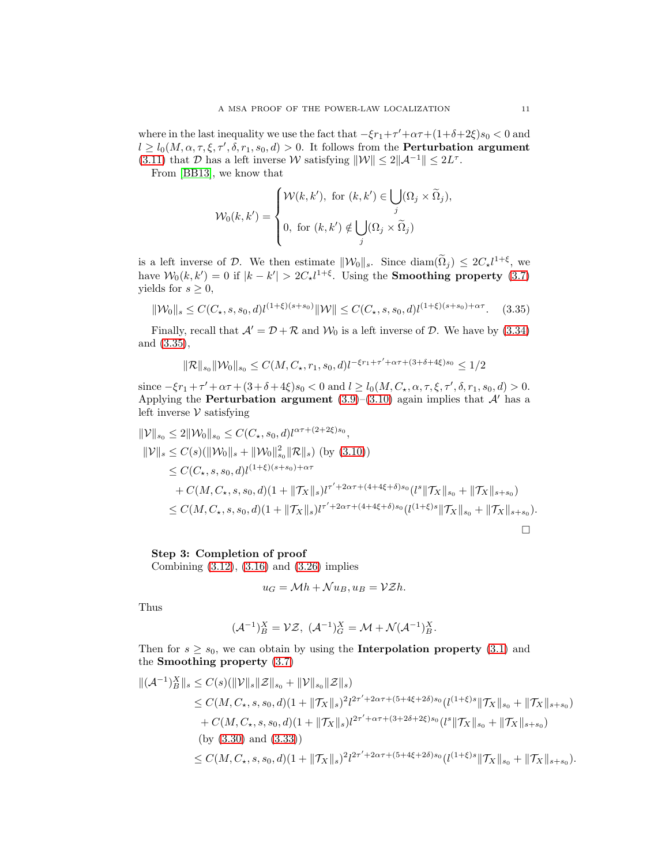where in the last inequality we use the fact that  $-\xi r_1 + \tau' + \alpha \tau + (1 + \delta + 2\xi)s_0 < 0$  and  $l \geq l_0(M, \alpha, \tau, \xi, \tau', \delta, r_1, s_0, d) > 0$ . It follows from the **Perturbation argument** [\(3.11\)](#page-6-7) that D has a left inverse W satisfying  $\|\mathcal{W}\| \leq 2\|\mathcal{A}^{-1}\| \leq 2L^{\tau}$ .

From [\[BB13\]](#page-19-10), we know that

<span id="page-10-0"></span>
$$
\mathcal{W}_0(k, k') = \begin{cases} \mathcal{W}(k, k'), \text{ for } (k, k') \in \bigcup_j (\Omega_j \times \widetilde{\Omega}_j), \\ 0, \text{ for } (k, k') \notin \bigcup_j (\Omega_j \times \widetilde{\Omega}_j) \end{cases}
$$

is a left inverse of D. We then estimate  $\|\mathcal{W}_0\|_s$ . Since  $\text{diam}(\Omega_j) \leq 2C_{\star}l^{1+\xi}$ , we have  $W_0(k, k') = 0$  if  $|k - k'| > 2C_* l^{1+\xi}$ . Using the **Smoothing property** [\(3.7\)](#page-5-2) yields for  $s \geq 0$ ,

$$
\|\mathcal{W}_0\|_s \le C(C_\star, s, s_0, d) l^{(1+\xi)(s+s_0)} \|\mathcal{W}\| \le C(C_\star, s, s_0, d) l^{(1+\xi)(s+s_0)+\alpha\tau}.
$$
 (3.35)

Finally, recall that  $\mathcal{A}' = \mathcal{D} + \mathcal{R}$  and  $\mathcal{W}_0$  is a left inverse of  $\mathcal{D}$ . We have by [\(3.34\)](#page-9-1) and [\(3.35\)](#page-10-0),

$$
\|\mathcal{R}\|_{s_0}\|\mathcal{W}_0\|_{s_0}\leq C(M,C_{\star},r_1,s_0,d)l^{-\xi r_1+\tau'+\alpha\tau+(3+\delta+4\xi)s_0}\leq 1/2
$$

since  $-\xi r_1 + \tau' + \alpha \tau + (3 + \delta + 4\xi)s_0 < 0$  and  $l \ge l_0(M, C_{\star}, \alpha, \tau, \xi, \tau', \delta, r_1, s_0, d) > 0$ . Applying the **Perturbation argument**  $(3.9)$ – $(3.10)$  again implies that  $\mathcal{A}'$  has a left inverse  $V$  satisfying

$$
\|V\|_{s_0} \le 2\|W_0\|_{s_0} \le C(C_\star, s_0, d)l^{\alpha \tau + (2+2\xi)s_0},
$$
  
\n
$$
\|V\|_{s} \le C(s)(\|W_0\|_{s} + \|W_0\|_{s_0}^2 \|\mathcal{R}\|_{s})
$$
 (by (3.10))  
\n
$$
\le C(C_\star, s, s_0, d)l^{(1+\xi)(s+s_0)+\alpha \tau}
$$
  
\n
$$
+ C(M, C_\star, s, s_0, d)(1 + \|\mathcal{T}_X\|_{s})l^{\tau' + 2\alpha \tau + (4+4\xi+\delta)s_0} (l^s \|\mathcal{T}_X\|_{s_0} + \|\mathcal{T}_X\|_{s+s_0})
$$
  
\n
$$
\le C(M, C_\star, s, s_0, d)(1 + \|\mathcal{T}_X\|_{s})l^{\tau' + 2\alpha \tau + (4+4\xi+\delta)s_0} (l^{(1+\xi)s} \|\mathcal{T}_X\|_{s_0} + \|\mathcal{T}_X\|_{s+s_0}).
$$

# Step 3: Completion of proof

Combining [\(3.12\)](#page-6-0), [\(3.16\)](#page-6-8) and [\(3.26\)](#page-8-3) implies

$$
u_G = \mathcal{M}h + \mathcal{N}u_B, u_B = \mathcal{V}Zh.
$$

Thus

$$
(\mathcal{A}^{-1})_B^X = \mathcal{VZ}, \; (\mathcal{A}^{-1})_G^X = \mathcal{M} + \mathcal{N}(\mathcal{A}^{-1})_B^X.
$$

Then for  $s \geq s_0$ , we can obtain by using the **Interpolation property** [\(3.1\)](#page-5-1) and the Smoothing property [\(3.7\)](#page-5-2)

$$
\begin{split} \|(A^{-1})_{B}^{X}\|_{s} &\leq C(s)(\|\mathcal{V}\|_{s}\|\mathcal{Z}\|_{s_{0}} + \|\mathcal{V}\|_{s_{0}}\|\mathcal{Z}\|_{s}) \\ &\leq C(M, C_{\star}, s, s_{0}, d)(1 + \|\mathcal{T}_{X}\|_{s})^{2}l^{2\tau' + 2\alpha\tau + (5 + 4\xi + 2\delta)s_{0}}(l^{(1+\xi)s}\|\mathcal{T}_{X}\|_{s_{0}} + \|\mathcal{T}_{X}\|_{s+s_{0}}) \\ &+ C(M, C_{\star}, s, s_{0}, d)(1 + \|\mathcal{T}_{X}\|_{s})l^{2\tau' + \alpha\tau + (3 + 2\delta + 2\xi)s_{0}}(l^{s}\|\mathcal{T}_{X}\|_{s_{0}} + \|\mathcal{T}_{X}\|_{s+s_{0}}) \\ &\text{(by (3.30) and (3.33))} \\ &\leq C(M, C_{\star}, s, s_{0}, d)(1 + \|\mathcal{T}_{X}\|_{s})^{2}l^{2\tau' + 2\alpha\tau + (5 + 4\xi + 2\delta)s_{0}}(l^{(1+\xi)s}\|\mathcal{T}_{X}\|_{s_{0}} + \|\mathcal{T}_{X}\|_{s+s_{0}}). \end{split}
$$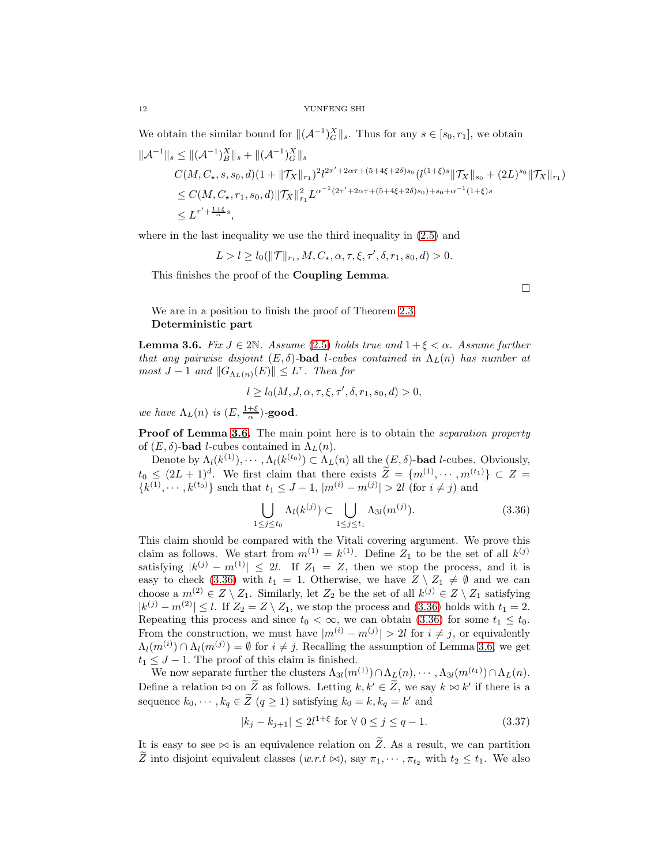We obtain the similar bound for  $\| (A^{-1})_G^X \|_s$ . Thus for any  $s \in [s_0, r_1]$ , we obtain

$$
\begin{split} \|\mathcal{A}^{-1}\|_{s} &\leq \|\ (\mathcal{A}^{-1})_{B}^{X}\|_{s} + \|(\mathcal{A}^{-1})_{G}^{X}\|_{s} \\ C(M, C_{\star}, s, s_{0}, d)(1 + \|\mathcal{T}_{X}\|_{r_{1}})^{2}l^{2\tau' + 2\alpha\tau + (5 + 4\xi + 2\delta)s_{0}}(l^{(1+\xi)s}\|\mathcal{T}_{X}\|_{s_{0}} + (2L)^{s_{0}}\|\mathcal{T}_{X}\|_{r_{1}}) \\ &\leq C(M, C_{\star}, r_{1}, s_{0}, d)\|\mathcal{T}_{X}\|_{r_{1}}^{2}L^{\alpha^{-1}(2\tau' + 2\alpha\tau + (5 + 4\xi + 2\delta)s_{0}) + s_{0} + \alpha^{-1}(1+\xi)s} \\ &\leq L^{\tau' + \frac{1+\xi}{\alpha}s}, \end{split}
$$

where in the last inequality we use the third inequality in  $(2.5)$  and

 $L > l \geq l_0(\|\mathcal{T}\|_{r_1}, M, C_\star, \alpha, \tau, \xi, \tau', \delta, r_1, s_0, d) > 0.$ 

This finishes the proof of the Coupling Lemma.

We are in a position to finish the proof of Theorem [2.3.](#page-3-0) Deterministic part

<span id="page-11-0"></span>**Lemma 3.6.** Fix  $J \in 2\mathbb{N}$ . Assume [\(2.5\)](#page-3-2) holds true and  $1 + \xi < \alpha$ . Assume further that any pairwise disjoint  $(E, \delta)$ -bad l-cubes contained in  $\Lambda_L(n)$  has number at most  $J-1$  and  $||G_{\Lambda_L(n)}(E)|| \leq L^{\tau}$ . Then for

$$
l \ge l_0(M, J, \alpha, \tau, \xi, \tau', \delta, r_1, s_0, d) > 0,
$$

we have  $\Lambda_L(n)$  is  $(E, \frac{1+\xi}{\alpha})$ -good.

Proof of Lemma [3.6.](#page-11-0) The main point here is to obtain the *separation property* of  $(E, \delta)$ -bad *l*-cubes contained in  $\Lambda_L(n)$ .

Denote by  $\Lambda_l(k^{(1)}), \cdots, \Lambda_l(k^{(t_0)}) \subset \Lambda_L(n)$  all the  $(E, \delta)$ -bad *l*-cubes. Obviously,  $t_0 \leq (2L+1)^d$ . We first claim that there exists  $\tilde{Z} = \{m^{(1)}, \cdots, m^{(t_1)}\} \subset Z =$  $\{k^{(1)}, \dots, k^{(t_0)}\}$  such that  $t_1 \leq J-1$ ,  $|m^{(i)} - m^{(j)}| > 2l$  (for  $i \neq j$ ) and

$$
\bigcup_{1 \le j \le t_0} \Lambda_l(k^{(j)}) \subset \bigcup_{1 \le j \le t_1} \Lambda_{3l}(m^{(j)}). \tag{3.36}
$$

This claim should be compared with the Vitali covering argument. We prove this claim as follows. We start from  $m^{(1)} = k^{(1)}$ . Define  $Z_1$  to be the set of all  $k^{(j)}$ satisfying  $|k^{(j)} - m^{(1)}| \leq 2l$ . If  $Z_1 = Z$ , then we stop the process, and it is easy to check [\(3.36\)](#page-11-1) with  $t_1 = 1$ . Otherwise, we have  $Z \setminus Z_1 \neq \emptyset$  and we can choose a  $m^{(2)} \in Z \setminus Z_1$ . Similarly, let  $Z_2$  be the set of all  $k^{(j)} \in Z \setminus Z_1$  satisfying  $|k^{(j)} - m^{(2)}| \leq l$ . If  $Z_2 = Z \setminus Z_1$ , we stop the process and [\(3.36\)](#page-11-1) holds with  $t_1 = 2$ . Repeating this process and since  $t_0 < \infty$ , we can obtain [\(3.36\)](#page-11-1) for some  $t_1 \leq t_0$ . From the construction, we must have  $|m^{(i)} - m^{(j)}| > 2l$  for  $i \neq j$ , or equivalently  $\Lambda_l(m^{(i)}) \cap \Lambda_l(m^{(j)}) = \emptyset$  for  $i \neq j$ . Recalling the assumption of Lemma [3.6,](#page-11-0) we get  $t_1 \leq J - 1$ . The proof of this claim is finished.

We now separate further the clusters  $\Lambda_{3l}(m^{(1)}) \cap \Lambda_L(n), \cdots, \Lambda_{3l}(m^{(t_1)}) \cap \Lambda_L(n)$ . Define a relation  $\bowtie$  on  $\overline{Z}$  as follows. Letting  $k, k' \in \overline{Z}$ , we say  $k \bowtie k'$  if there is a sequence  $k_0, \dots, k_q \in \tilde{Z}$   $(q \ge 1)$  satisfying  $k_0 = k, k_q = k'$  and

<span id="page-11-2"></span>
$$
|k_j - k_{j+1}| \le 2l^{1+\xi} \text{ for } \forall \ 0 \le j \le q-1. \tag{3.37}
$$

It is easy to see  $\bowtie$  is an equivalence relation on  $\widetilde{Z}$ . As a result, we can partition Z into disjoint equivalent classes  $(w.r.t \bowtie)$ , say  $\pi_1, \dots, \pi_{t_2}$  with  $t_2 \leq t_1$ . We also

<span id="page-11-1"></span> $\Box$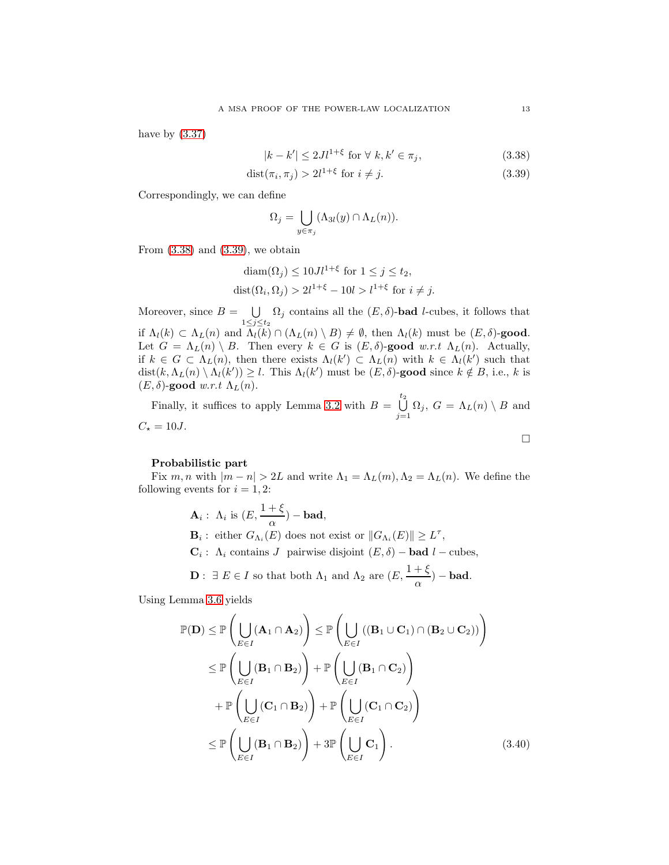have by  $(3.37)$ 

<span id="page-12-0"></span>
$$
|k - k'| \le 2Jl^{1+\xi} \text{ for } \forall k, k' \in \pi_j,
$$
\n
$$
(3.38)
$$

$$
dist(\pi_i, \pi_j) > 2l^{1+\xi} \text{ for } i \neq j. \tag{3.39}
$$

Correspondingly, we can define

<span id="page-12-1"></span>
$$
\Omega_j = \bigcup_{y \in \pi_j} (\Lambda_{3l}(y) \cap \Lambda_L(n)).
$$

From  $(3.38)$  and  $(3.39)$ , we obtain

$$
\text{diam}(\Omega_j) \le 10Jl^{1+\xi} \text{ for } 1 \le j \le t_2,
$$
  

$$
\text{dist}(\Omega_i, \Omega_j) > 2l^{1+\xi} - 10l > l^{1+\xi} \text{ for } i \ne j.
$$

Moreover, since  $B = \bigcup$  $\bigcup_{1 \leq j \leq t_2} \Omega_j$  contains all the  $(E, \delta)$ -**bad** *l*-cubes, it follows that if  $\Lambda_l(k) \subset \Lambda_L(n)$  and  $\Lambda_l(k) \cap (\Lambda_L(n) \setminus B) \neq \emptyset$ , then  $\Lambda_l(k)$  must be  $(E, \delta)$ -good. Let  $G = \Lambda_L(n) \setminus B$ . Then every  $k \in G$  is  $(E, \delta)$ -good w.r.t  $\Lambda_L(n)$ . Actually, if  $k \in G \subset \Lambda_L(n)$ , then there exists  $\Lambda_l(k') \subset \Lambda_L(n)$  with  $k \in \Lambda_l(k')$  such that  $dist(k, \Lambda_L(n) \setminus \Lambda_l(k')) \geq l$ . This  $\Lambda_l(k')$  must be  $(E, \delta)$ -good since  $k \notin B$ , i.e., k is  $(E, \delta)$ -good w.r.t  $\Lambda_L(n)$ .

Finally, it suffices to apply Lemma [3.2](#page-4-1) with  $B = \bigcup_{i=1}^{t_2}$  $\bigcup_{j=1} \Omega_j$ ,  $G = \Lambda_L(n) \setminus B$  and  $C_{\star} = 10J.$  $\Box$ 

# Probabilistic part

Fix m, n with  $|m - n| > 2L$  and write  $\Lambda_1 = \Lambda_L(m)$ ,  $\Lambda_2 = \Lambda_L(n)$ . We define the following events for  $i = 1, 2$ :

> **A**<sub>i</sub>:  $\Lambda_i$  is  $(E, \frac{1+\xi}{\alpha})$  – **bad**,  $\mathbf{B}_i$ : either  $G_{\Lambda_i}(E)$  does not exist or  $||G_{\Lambda_i}(E)|| \geq L^{\tau}$ ,  $\mathbf{C}_i$ :  $\Lambda_i$  contains J pairwise disjoint  $(E, \delta)$  – **bad**  $l$  – cubes, **D**:  $\exists E \in I$  so that both  $\Lambda_1$  and  $\Lambda_2$  are  $(E, \frac{1+\xi}{\alpha})$  – **bad**.

Using Lemma [3.6](#page-11-0) yields

<span id="page-12-2"></span>
$$
\mathbb{P}(\mathbf{D}) \leq \mathbb{P}\left(\bigcup_{E \in I} (\mathbf{A}_1 \cap \mathbf{A}_2)\right) \leq \mathbb{P}\left(\bigcup_{E \in I} ((\mathbf{B}_1 \cup \mathbf{C}_1) \cap (\mathbf{B}_2 \cup \mathbf{C}_2))\right)
$$
  
\n
$$
\leq \mathbb{P}\left(\bigcup_{E \in I} (\mathbf{B}_1 \cap \mathbf{B}_2)\right) + \mathbb{P}\left(\bigcup_{E \in I} (\mathbf{B}_1 \cap \mathbf{C}_2)\right)
$$
  
\n
$$
+ \mathbb{P}\left(\bigcup_{E \in I} (\mathbf{C}_1 \cap \mathbf{B}_2)\right) + \mathbb{P}\left(\bigcup_{E \in I} (\mathbf{C}_1 \cap \mathbf{C}_2)\right)
$$
  
\n
$$
\leq \mathbb{P}\left(\bigcup_{E \in I} (\mathbf{B}_1 \cap \mathbf{B}_2)\right) + 3 \mathbb{P}\left(\bigcup_{E \in I} \mathbf{C}_1\right). \tag{3.40}
$$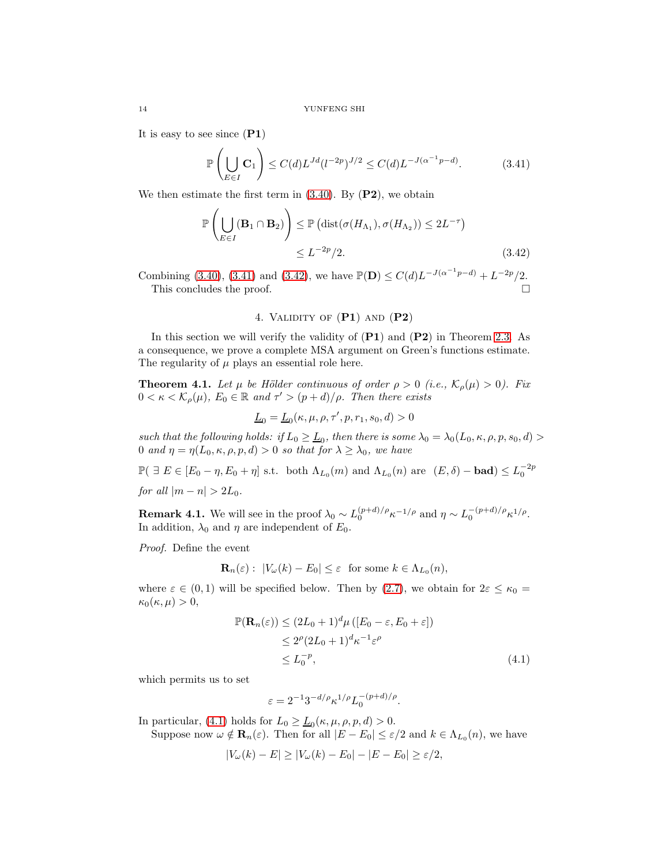It is easy to see since  $(P1)$ 

$$
\mathbb{P}\left(\bigcup_{E\in I} \mathbf{C}_1\right) \le C(d)L^{Jd}(l^{-2p})^{J/2} \le C(d)L^{-J(\alpha^{-1}p-d)}.
$$
 (3.41)

We then estimate the first term in  $(3.40)$ . By  $(P2)$ , we obtain

$$
\mathbb{P}\left(\bigcup_{E\in I} (\mathbf{B}_1 \cap \mathbf{B}_2)\right) \leq \mathbb{P}\left(\text{dist}(\sigma(H_{\Lambda_1}), \sigma(H_{\Lambda_2})) \leq 2L^{-\tau}\right) \leq L^{-2p}/2.
$$
\n(3.42)

Combining [\(3.40\)](#page-12-2), [\(3.41\)](#page-13-0) and [\(3.42\)](#page-13-1), we have  $\mathbb{P}(\mathbf{D}) \leq C(d)L^{-J(\alpha^{-1}p-d)} + L^{-2p}/2$ . This concludes the proof.

# <span id="page-13-1"></span><span id="page-13-0"></span>4. Validity of (P1) and (P2)

In this section we will verify the validity of  $(P1)$  and  $(P2)$  in Theorem [2.3.](#page-3-0) As a consequence, we prove a complete MSA argument on Green's functions estimate. The regularity of  $\mu$  plays an essential role here.

<span id="page-13-3"></span>**Theorem 4.1.** Let  $\mu$  be Hölder continuous of order  $\rho > 0$  (i.e.,  $\mathcal{K}_{\rho}(\mu) > 0$ ). Fix  $0 < \kappa < \mathcal{K}_{\rho}(\mu)$ ,  $E_0 \in \mathbb{R}$  and  $\tau' > (p+d)/\rho$ . Then there exists

$$
\underline{L}_0 = \underline{L}_0(\kappa, \mu, \rho, \tau', p, r_1, s_0, d) > 0
$$

such that the following holds: if  $L_0 \geq \underline{L}_0$ , then there is some  $\lambda_0 = \lambda_0(L_0, \kappa, \rho, p, s_0, d) >$ 0 and  $\eta = \eta(L_0, \kappa, \rho, p, d) > 0$  so that for  $\lambda \geq \lambda_0$ , we have

 $\mathbb{P}(\exists E \in [E_0 - \eta, E_0 + \eta] \text{ s.t. both } \Lambda_{L_0}(m) \text{ and } \Lambda_{L_0}(n) \text{ are } (E, \delta) - \text{bad}) \leq L_0^{-2p}$ for all  $|m - n| > 2L_0$ .

**Remark 4.1.** We will see in the proof  $\lambda_0 \sim L_0^{(p+d)/\rho} \kappa^{-1/\rho}$  and  $\eta \sim L_0^{-(p+d)/\rho} \kappa^{1/\rho}$ . In addition,  $\lambda_0$  and  $\eta$  are independent of  $E_0$ .

Proof. Define the event

$$
\mathbf{R}_n(\varepsilon): |V_\omega(k) - E_0| \leq \varepsilon \text{ for some } k \in \Lambda_{L_0}(n),
$$

where  $\varepsilon \in (0,1)$  will be specified below. Then by  $(2.7)$ , we obtain for  $2\varepsilon \leq \kappa_0 =$  $\kappa_0(\kappa,\mu) > 0,$ 

$$
\mathbb{P}(\mathbf{R}_n(\varepsilon)) \le (2L_0 + 1)^d \mu ([E_0 - \varepsilon, E_0 + \varepsilon])
$$
  
\n
$$
\le 2^{\rho} (2L_0 + 1)^d \kappa^{-1} \varepsilon^{\rho}
$$
  
\n
$$
\le L_0^{-p}, \tag{4.1}
$$

which permits us to set

<span id="page-13-2"></span>
$$
\varepsilon = 2^{-1} 3^{-d/\rho} \kappa^{1/\rho} L_0^{-(p+d)/\rho}.
$$

In particular, [\(4.1\)](#page-13-2) holds for  $L_0 \ge \underline{L}_0(\kappa, \mu, \rho, p, d) > 0$ .

Suppose now  $\omega \notin \mathbf{R}_n(\varepsilon)$ . Then for all  $|E - E_0| \leq \varepsilon/2$  and  $k \in \Lambda_{L_0}(n)$ , we have

$$
|V_{\omega}(k) - E| \ge |V_{\omega}(k) - E_0| - |E - E_0| \ge \varepsilon/2,
$$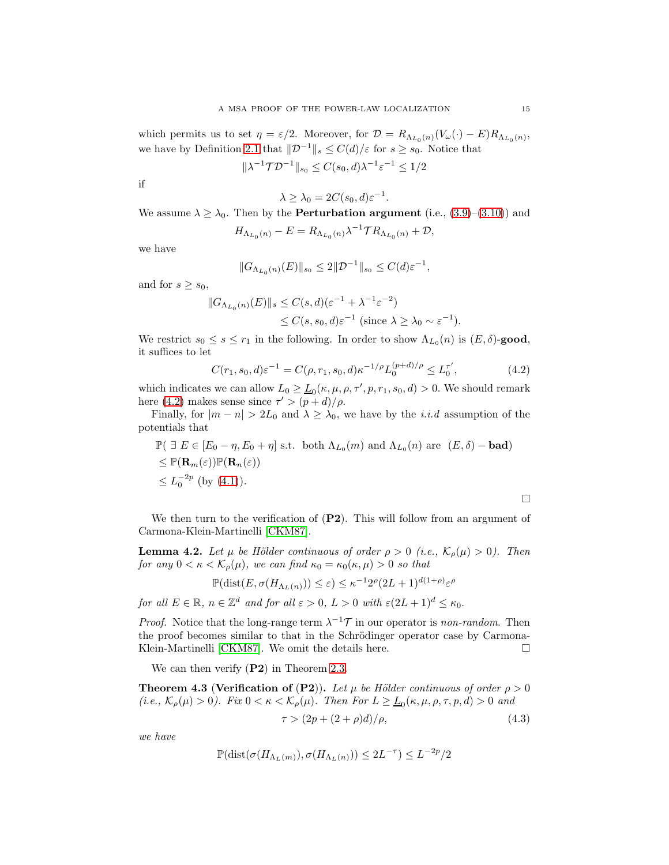which permits us to set  $\eta = \varepsilon/2$ . Moreover, for  $\mathcal{D} = R_{\Lambda_{L_0}(n)}(V_\omega(\cdot) - E)R_{\Lambda_{L_0}(n)},$ we have by Definition [2.1](#page-2-4) that  $\mathcal{D}^{-1}\|_{s} \leq C(d)/\varepsilon$  for  $s \geq s_0$ . Notice that

$$
\|\lambda^{-1}\mathcal{T}\mathcal{D}^{-1}\|_{s_0} \le C(s_0, d)\lambda^{-1}\varepsilon^{-1} \le 1/2
$$

if

$$
\lambda \ge \lambda_0 = 2C(s_0, d)\varepsilon^{-1}
$$

We assume  $\lambda \geq \lambda_0$ . Then by the **Perturbation argument** (i.e., [\(3.9\)](#page-6-4)–[\(3.10\)](#page-6-5)) and

$$
H_{\Lambda_{L_0}(n)} - E = R_{\Lambda_{L_0}(n)} \lambda^{-1} \mathcal{T} R_{\Lambda_{L_0}(n)} + \mathcal{D},
$$

we have

$$
||G_{\Lambda_{L_0}(n)}(E)||_{s_0} \leq 2||\mathcal{D}^{-1}||_{s_0} \leq C(d)\varepsilon^{-1},
$$

and for  $s \geq s_0$ ,

$$
||G_{\Lambda_{L_0}(n)}(E)||_s \le C(s, d)(\varepsilon^{-1} + \lambda^{-1} \varepsilon^{-2})
$$
  

$$
\le C(s, s_0, d)\varepsilon^{-1} \text{ (since } \lambda \ge \lambda_0 \sim \varepsilon^{-1}\text{)}.
$$

We restrict  $s_0 \leq s \leq r_1$  in the following. In order to show  $\Lambda_{L_0}(n)$  is  $(E, \delta)$ -good, it suffices to let

$$
C(r_1, s_0, d)\varepsilon^{-1} = C(\rho, r_1, s_0, d)\kappa^{-1/\rho}L_0^{(p+d)/\rho} \le L_0^{\tau'},\tag{4.2}
$$

.

which indicates we can allow  $L_0 \geq \underline{L}_0(\kappa, \mu, \rho, \tau', p, r_1, s_0, d) > 0$ . We should remark here [\(4.2\)](#page-14-0) makes sense since  $\tau' > (p + d)/\rho$ .

Finally, for  $|m - n| > 2L_0$  and  $\lambda \geq \lambda_0$ , we have by the *i.i.d* assumption of the potentials that

$$
\mathbb{P}(\exists E \in [E_0 - \eta, E_0 + \eta] \text{ s.t. both } \Lambda_{L_0}(m) \text{ and } \Lambda_{L_0}(n) \text{ are } (E, \delta) - \text{bad})
$$
  
\n
$$
\leq \mathbb{P}(\mathbf{R}_m(\varepsilon))\mathbb{P}(\mathbf{R}_n(\varepsilon))
$$
  
\n
$$
\leq L_0^{-2p} \text{ (by (4.1))}.
$$

We then turn to the verification of  $(P2)$ . This will follow from an argument of Carmona-Klein-Martinelli [\[CKM87\]](#page-19-4).

<span id="page-14-1"></span>**Lemma 4.2.** Let  $\mu$  be Hölder continuous of order  $\rho > 0$  (i.e.,  $\mathcal{K}_{\rho}(\mu) > 0$ ). Then for any  $0 < \kappa < \mathcal{K}_{\rho}(\mu)$ , we can find  $\kappa_0 = \kappa_0(\kappa, \mu) > 0$  so that

$$
\mathbb{P}(\text{dist}(E, \sigma(H_{\Lambda_L(n)})) \le \varepsilon) \le \kappa^{-1} 2^{\rho} (2L+1)^{d(1+\rho)} \varepsilon^{\rho}
$$

for all  $E \in \mathbb{R}$ ,  $n \in \mathbb{Z}^d$  and for all  $\varepsilon > 0$ ,  $L > 0$  with  $\varepsilon (2L + 1)^d \leq \kappa_0$ .

*Proof.* Notice that the long-range term  $\lambda^{-1}\mathcal{T}$  in our operator is non-random. Then the proof becomes similar to that in the Schrödinger operator case by Carmona-Klein-Martinelli [\[CKM87\]](#page-19-4). We omit the details here.  $\Box$ 

We can then verify  $(P2)$  in Theorem [2.3.](#page-3-0)

<span id="page-14-3"></span>**Theorem 4.3 (Verification of (P2)).** Let  $\mu$  be Hölder continuous of order  $\rho > 0$ (i.e.,  $\mathcal{K}_{\rho}(\mu) > 0$ ). Fix  $0 < \kappa < \mathcal{K}_{\rho}(\mu)$ . Then For  $L \geq \underline{L}_0(\kappa, \mu, \rho, \tau, p, d) > 0$  and

$$
\tau > (2p + (2 + \rho)d)/\rho, \tag{4.3}
$$

we have

$$
\mathbb{P}(\text{dist}(\sigma(H_{\Lambda_L(m)}), \sigma(H_{\Lambda_L(n)})) \leq 2L^{-\tau}) \leq L^{-2p}/2
$$

<span id="page-14-2"></span><span id="page-14-0"></span> $\Box$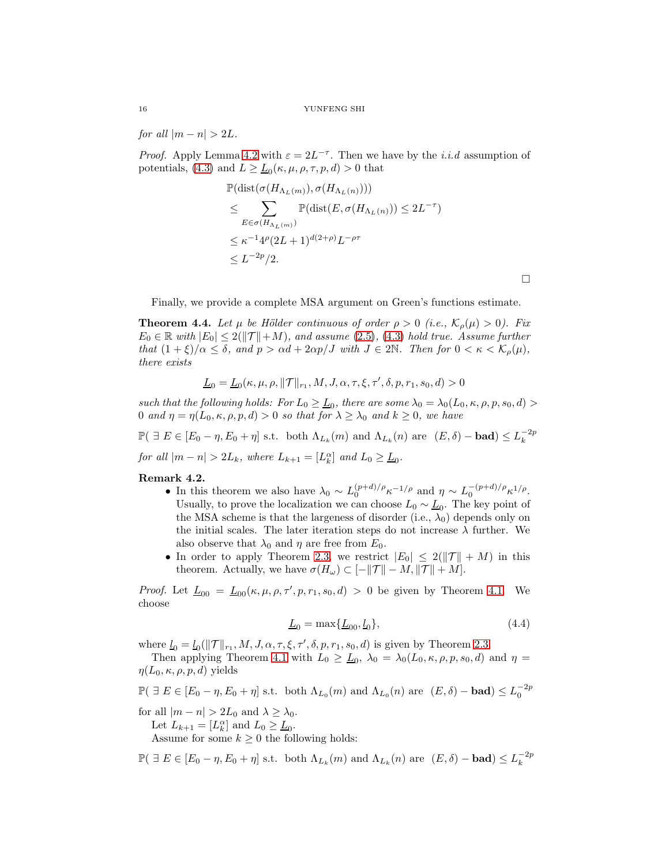for all  $|m - n| > 2L$ .

*Proof.* Apply Lemma [4.2](#page-14-1) with  $\varepsilon = 2L^{-\tau}$ . Then we have by the *i.i.d* assumption of potentials, [\(4.3\)](#page-14-2) and  $L \ge \underline{L}_0(\kappa, \mu, \rho, \tau, p, d) > 0$  that

$$
\mathbb{P}(\text{dist}(\sigma(H_{\Lambda_L(m)}), \sigma(H_{\Lambda_L(n)})))
$$
\n
$$
\leq \sum_{E \in \sigma(H_{\Lambda_L(m)})} \mathbb{P}(\text{dist}(E, \sigma(H_{\Lambda_L(n)})) \leq 2L^{-\tau})
$$
\n
$$
\leq \kappa^{-1} 4^{\rho} (2L+1)^{d(2+\rho)} L^{-\rho\tau}
$$
\n
$$
\leq L^{-2p}/2.
$$

 $\Box$ 

Finally, we provide a complete MSA argument on Green's functions estimate.

<span id="page-15-0"></span>**Theorem 4.4.** Let  $\mu$  be Hölder continuous of order  $\rho > 0$  (i.e.,  $\mathcal{K}_{\rho}(\mu) > 0$ ). Fix  $E_0 \in \mathbb{R}$  with  $|E_0| \leq 2(||\mathcal{T}||+M)$ , and assume [\(2.5\)](#page-3-2), [\(4.3\)](#page-14-2) hold true. Assume further that  $(1+\xi)/\alpha \leq \delta$ , and  $p > \alpha d + 2\alpha p/J$  with  $J \in 2\mathbb{N}$ . Then for  $0 < \kappa < \mathcal{K}_{\rho}(\mu)$ , there exists

$$
\underline{L}_0=\underline{L}_0(\kappa,\mu,\rho,\|{\mathcal{T}}\|_{r_1},M,J,\alpha,\tau,\xi,\tau',\delta,p,r_1,s_0,d)>0
$$

such that the following holds: For  $L_0 \geq \underline{L}_0$ , there are some  $\lambda_0 = \lambda_0(L_0, \kappa, \rho, p, s_0, d) >$ 0 and  $\eta = \eta(L_0, \kappa, \rho, p, d) > 0$  so that for  $\lambda \geq \lambda_0$  and  $k \geq 0$ , we have

 $\mathbb{P}(\exists E \in [E_0 - \eta, E_0 + \eta] \text{ s.t. both } \Lambda_{L_k}(m) \text{ and } \Lambda_{L_k}(n) \text{ are } (E, \delta) - \text{bad}) \leq L_k^{-2p}$ for all  $|m - n| > 2L_k$ , where  $L_{k+1} = [L_k^{\alpha}]$  and  $L_0 \ge \underline{L}_0$ .

# Remark 4.2.

- In this theorem we also have  $\lambda_0 \sim L_0^{(p+d)/\rho} \kappa^{-1/\rho}$  and  $\eta \sim L_0^{-(p+d)/\rho} \kappa^{1/\rho}$ . Usually, to prove the localization we can choose  $L_0 \sim \underline{L}_0$ . The key point of the MSA scheme is that the largeness of disorder (i.e.,  $\lambda_0$ ) depends only on the initial scales. The later iteration steps do not increase  $\lambda$  further. We also observe that  $\lambda_0$  and  $\eta$  are free from  $E_0$ .
- In order to apply Theorem [2.3,](#page-3-0) we restrict  $|E_0| \leq 2(||\mathcal{T}|| + M)$  in this theorem. Actually, we have  $\sigma(H_\omega) \subset [-\|\mathcal{T}\| - M, \|\mathcal{T}\| + M].$

*Proof.* Let  $\underline{L}_{00} = \underline{L}_{00}(\kappa, \mu, \rho, \tau', p, r_1, s_0, d) > 0$  be given by Theorem [4.1.](#page-13-3) We choose

<span id="page-15-1"></span>
$$
\underline{L}_0 = \max\{\underline{L}_{00}, \underline{l}_0\},\tag{4.4}
$$

where  $\underline{l}_0 = \underline{l}_0(||\mathcal{T}||_{r_1}, M, J, \alpha, \tau, \xi, \tau', \delta, p, r_1, s_0, d)$  is given by Theorem [2.3.](#page-3-0)

Then applying Theorem [4.1](#page-13-3) with  $L_0 \geq \underline{L}_0$ ,  $\lambda_0 = \lambda_0(L_0, \kappa, \rho, p, s_0, d)$  and  $\eta =$  $\eta(L_0,\kappa,\rho,p,d)$  yields

$$
\mathbb{P}(\exists E \in [E_0 - \eta, E_0 + \eta] \text{ s.t. both } \Lambda_{L_0}(m) \text{ and } \Lambda_{L_0}(n) \text{ are } (E, \delta) - \text{bad}) \le L_0^{-2p}
$$

for all  $|m - n| > 2L_0$  and  $\lambda \geq \lambda_0$ .

Let  $L_{k+1} = [L_k^{\alpha}]$  and  $L_0 \ge \underline{L}_0$ .

Assume for some  $k \geq 0$  the following holds:

 $\mathbb{P}(\exists E \in [E_0 - \eta, E_0 + \eta] \text{ s.t. both } \Lambda_{L_k}(m) \text{ and } \Lambda_{L_k}(n) \text{ are } (E, \delta) - \text{bad}) \leq L_k^{-2p}$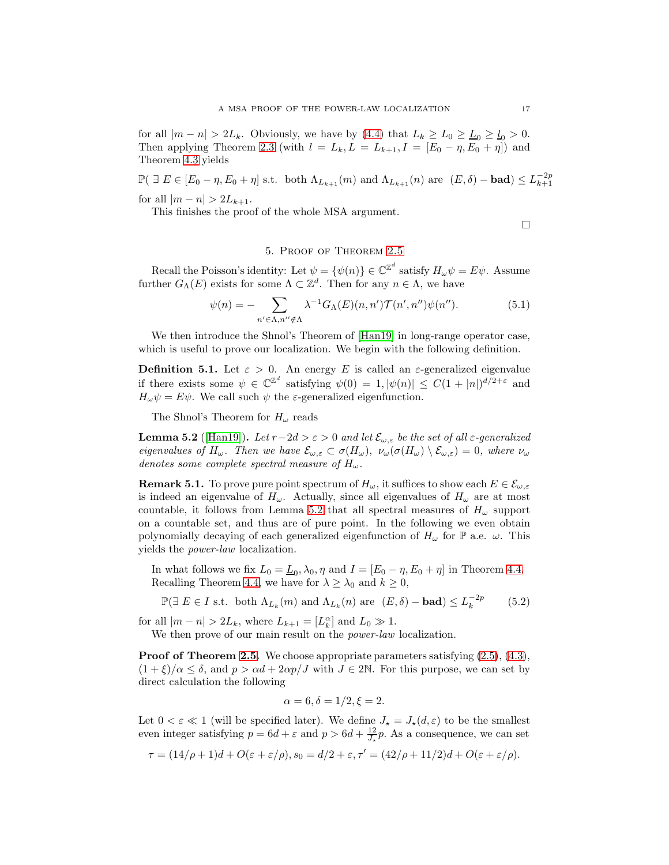for all  $|m - n| > 2L_k$ . Obviously, we have by [\(4.4\)](#page-15-1) that  $L_k \ge L_0 \ge L_0 \ge L_0 > 0$ . Then applying Theorem [2.3](#page-3-0) (with  $l = L_k, L = L_{k+1}, I = [E_0 - \eta, E_0 + \eta]$ ) and Theorem [4.3](#page-14-3) yields

 $\mathbb{P}(\exists E \in [E_0 - \eta, E_0 + \eta] \text{ s.t. both } \Lambda_{L_{k+1}}(m) \text{ and } \Lambda_{L_{k+1}}(n) \text{ are } (E, \delta) - \text{bad}) \leq L_{k+1}^{-2p}$ for all  $|m - n| > 2L_{k+1}$ .

This finishes the proof of the whole MSA argument.

<span id="page-16-2"></span> $\Box$ 

# 5. Proof of Theorem [2.5](#page-4-0)

Recall the Poisson's identity: Let  $\psi = {\psi(n)} \in \mathbb{C}^{\mathbb{Z}^d}$  satisfy  $H_{\omega}\psi = E\psi$ . Assume further  $G_{\Lambda}(E)$  exists for some  $\Lambda \subset \mathbb{Z}^d$ . Then for any  $n \in \Lambda$ , we have

$$
\psi(n) = -\sum_{n' \in \Lambda, n'' \notin \Lambda} \lambda^{-1} G_{\Lambda}(E)(n, n') \mathcal{T}(n', n'') \psi(n''). \tag{5.1}
$$

We then introduce the Shnol's Theorem of [\[Han19\]](#page-20-11) in long-range operator case, which is useful to prove our localization. We begin with the following definition.

**Definition 5.1.** Let  $\varepsilon > 0$ . An energy E is called an  $\varepsilon$ -generalized eigenvalue if there exists some  $\psi \in \mathbb{C}^{\mathbb{Z}^d}$  satisfying  $\psi(0) = 1, |\psi(n)| \leq C(1 + |n|)^{d/2 + \varepsilon}$  and  $H_{\omega}\psi = E\psi$ . We call such  $\psi$  the *ε*-generalized eigenfunction.

The Shnol's Theorem for  $H_{\omega}$  reads

<span id="page-16-0"></span>**Lemma 5.2** ([\[Han19\]](#page-20-11)). Let  $r-2d > \varepsilon > 0$  and let  $\mathcal{E}_{\omega,\varepsilon}$  be the set of all  $\varepsilon$ -generalized eigenvalues of  $H_{\omega}$ . Then we have  $\mathcal{E}_{\omega,\varepsilon} \subset \sigma(H_{\omega}), \ \nu_{\omega}(\sigma(H_{\omega}) \setminus \mathcal{E}_{\omega,\varepsilon}) = 0$ , where  $\nu_{\omega}$ denotes some complete spectral measure of  $H_{\omega}$ .

**Remark 5.1.** To prove pure point spectrum of  $H_{\omega}$ , it suffices to show each  $E \in \mathcal{E}_{\omega, \varepsilon}$ is indeed an eigenvalue of  $H_{\omega}$ . Actually, since all eigenvalues of  $H_{\omega}$  are at most countable, it follows from Lemma [5.2](#page-16-0) that all spectral measures of  $H_{\omega}$  support on a countable set, and thus are of pure point. In the following we even obtain polynomially decaying of each generalized eigenfunction of  $H_{\omega}$  for  $\mathbb{P}$  a.e.  $\omega$ . This yields the power-law localization.

In what follows we fix  $L_0 = \underline{L}_0, \lambda_0, \eta$  and  $I = [E_0 - \eta, E_0 + \eta]$  in Theorem [4.4.](#page-15-0) Recalling Theorem [4.4,](#page-15-0) we have for  $\lambda \geq \lambda_0$  and  $k \geq 0$ ,

 $\mathbb{P}(\exists E \in I \text{ s.t. both } \Lambda_{L_k}(m) \text{ and } \Lambda_{L_k}(n) \text{ are } (E, \delta) - \text{bad}) \leq L_k^{-2p}$ (5.2)

for all  $|m - n| > 2L_k$ , where  $L_{k+1} = [L_k^{\alpha}]$  and  $L_0 \gg 1$ .

We then prove of our main result on the *power-law* localization.

**Proof of Theorem [2.5.](#page-4-0)** We choose appropriate parameters satisfying  $(2.5)$ ,  $(4.3)$ ,  $(1+\xi)/\alpha \leq \delta$ , and  $p > \alpha d + 2\alpha p/J$  with  $J \in 2\mathbb{N}$ . For this purpose, we can set by direct calculation the following

<span id="page-16-1"></span>
$$
\alpha = 6, \delta = 1/2, \xi = 2.
$$

Let  $0 < \varepsilon \ll 1$  (will be specified later). We define  $J_{\star} = J_{\star}(d, \varepsilon)$  to be the smallest even integer satisfying  $p = 6d + \varepsilon$  and  $p > 6d + \frac{12}{J_*}p$ . As a consequence, we can set

$$
\tau = (14/\rho + 1)d + O(\varepsilon + \varepsilon/\rho), s_0 = d/2 + \varepsilon, \tau' = (42/\rho + 11/2)d + O(\varepsilon + \varepsilon/\rho).
$$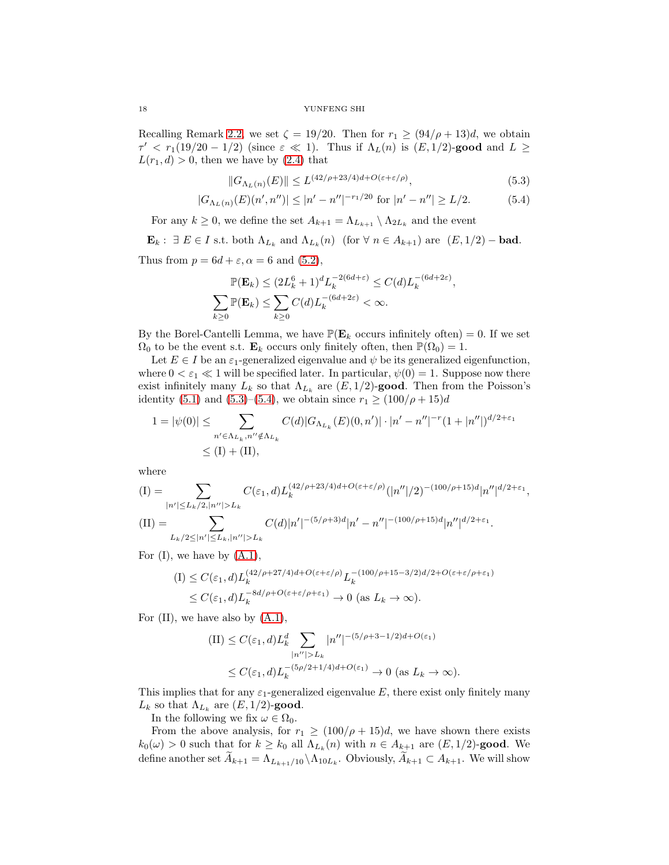Recalling Remark [2.2,](#page-3-3) we set  $\zeta = 19/20$ . Then for  $r_1 \geq (94/\rho + 13)d$ , we obtain  $\tau' < r_1(19/20 - 1/2)$  (since  $\varepsilon \ll 1$ ). Thus if  $\Lambda_L(n)$  is  $(E, 1/2)$ -good and  $L \geq$  $L(r_1, d) > 0$ , then we have by [\(2.4\)](#page-3-4) that

<span id="page-17-1"></span><span id="page-17-0"></span>
$$
||G_{\Lambda_L(n)}(E)|| \le L^{(42/\rho+23/4)d + O(\varepsilon + \varepsilon/\rho)}, \tag{5.3}
$$

$$
|G_{\Lambda_L(n)}(E)(n',n'')| \le |n'-n''|^{-r_1/20} \text{ for } |n'-n''| \ge L/2. \tag{5.4}
$$

For any  $k \geq 0$ , we define the set  $A_{k+1} = \Lambda_{L_{k+1}} \setminus \Lambda_{2L_k}$  and the event

 $\mathbf{E}_k$ :  $\exists E \in I$  s.t. both  $\Lambda_{L_k}$  and  $\Lambda_{L_k}(n)$  (for  $\forall n \in A_{k+1}$ ) are  $(E, 1/2)$  – bad.

Thus from  $p = 6d + \varepsilon$ ,  $\alpha = 6$  and  $(5.2)$ ,

$$
\mathbb{P}(\mathbf{E}_k) \le (2L_k^6 + 1)^d L_k^{-2(6d + \varepsilon)} \le C(d) L_k^{-(6d + 2\varepsilon)},
$$
  

$$
\sum_{k \ge 0} \mathbb{P}(\mathbf{E}_k) \le \sum_{k \ge 0} C(d) L_k^{-(6d + 2\varepsilon)} < \infty.
$$

By the Borel-Cantelli Lemma, we have  $\mathbb{P}(\mathbf{E}_k)$  occurs infinitely often) = 0. If we set  $\Omega_0$  to be the event s.t.  $\mathbf{E}_k$  occurs only finitely often, then  $\mathbb{P}(\Omega_0) = 1$ .

Let  $E \in I$  be an  $\varepsilon_1$ -generalized eigenvalue and  $\psi$  be its generalized eigenfunction, where  $0 < \varepsilon_1 \ll 1$  will be specified later. In particular,  $\psi(0) = 1$ . Suppose now there exist infinitely many  $L_k$  so that  $\Lambda_{L_k}$  are  $(E, 1/2)$ -good. Then from the Poisson's identity [\(5.1\)](#page-16-2) and [\(5.3\)](#page-17-0)–[\(5.4\)](#page-17-1), we obtain since  $r_1 \ge (100/\rho + 15)d$ 

$$
1 = |\psi(0)| \le \sum_{n' \in \Lambda_{L_k}, n'' \notin \Lambda_{L_k}} C(d) |G_{\Lambda_{L_k}}(E)(0, n')| \cdot |n' - n''|^{-r} (1 + |n''|)^{d/2 + \varepsilon_1} \le (I) + (II),
$$

where

$$
(I) = \sum_{\substack{|n'| \le L_k/2, |n''| > L_k}} C(\varepsilon_1, d) L_k^{(42/\rho + 23/4)d + O(\varepsilon + \varepsilon/\rho)} (|n''|/2)^{-(100/\rho + 15)d} |n''|^{d/2 + \varepsilon_1},
$$
  
\n
$$
(II) = \sum_{L_k/2 \le |n'| \le L_k, |n''| > L_k} C(d) |n'|^{-(5/\rho + 3)d} |n' - n''|^{-(100/\rho + 15)d} |n''|^{d/2 + \varepsilon_1}.
$$

For  $(I)$ , we have by  $(A.1)$ ,

$$
(I) \le C(\varepsilon_1, d)L_k^{(42/\rho+27/4)d+O(\varepsilon+\varepsilon/\rho)}L_k^{-(100/\rho+15-3/2)d/2+O(\varepsilon+\varepsilon/\rho+\varepsilon_1)}
$$
  

$$
\le C(\varepsilon_1, d)L_k^{-8d/\rho+O(\varepsilon+\varepsilon/\rho+\varepsilon_1)} \to 0 \text{ (as } L_k \to \infty).
$$

For (II), we have also by [\(A.1\)](#page-19-12),

$$
\begin{aligned} \n(\text{II}) &\leq C(\varepsilon_1, d) L_k^d \sum_{|n''| > L_k} |n''|^{-(5/\rho + 3 - 1/2)d + O(\varepsilon_1)} \\ \n&\leq C(\varepsilon_1, d) L_k^{-(5\rho/2 + 1/4)d + O(\varepsilon_1)} \to 0 \text{ (as } L_k \to \infty). \n\end{aligned}
$$

This implies that for any  $\varepsilon_1$ -generalized eigenvalue E, there exist only finitely many  $L_k$  so that  $\Lambda_{L_k}$  are  $(E, 1/2)$ -good.

In the following we fix  $\omega \in \Omega_0$ .

From the above analysis, for  $r_1 \geq (100/\rho + 15)d$ , we have shown there exists  $k_0(\omega) > 0$  such that for  $k \geq k_0$  all  $\Lambda_{L_k}(n)$  with  $n \in A_{k+1}$  are  $(E, 1/2)$ -good. We define another set  $A_{k+1} = \Lambda_{L_{k+1}/10} \setminus \Lambda_{10L_k}$ . Obviously,  $A_{k+1} \subset A_{k+1}$ . We will show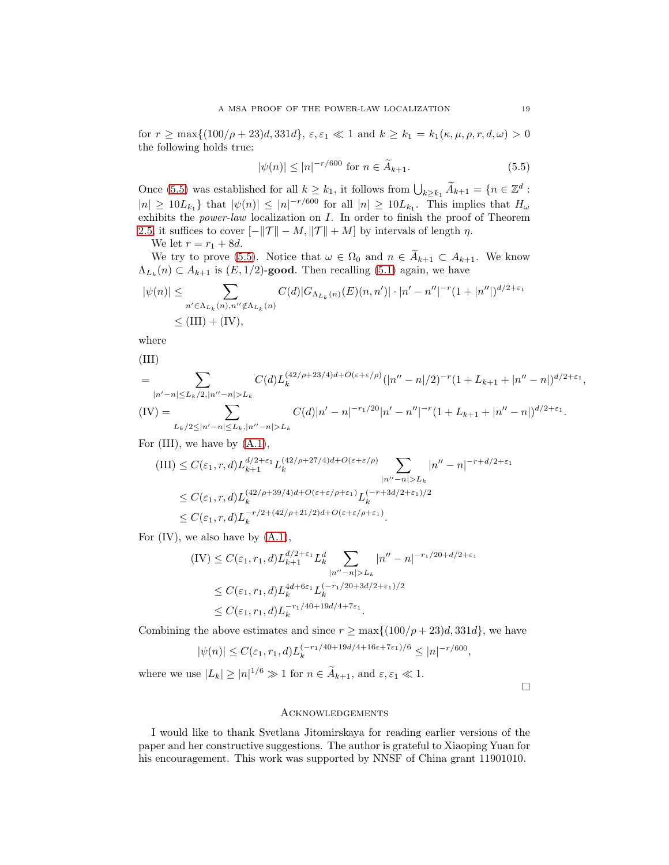for  $r \ge \max\{(100/\rho + 23)d, 331d\}, \, \varepsilon, \varepsilon_1 \ll 1 \text{ and } k \ge k_1 = k_1(\kappa, \mu, \rho, r, d, \omega) > 0$ the following holds true:

<span id="page-18-0"></span>
$$
|\psi(n)| \le |n|^{-r/600} \text{ for } n \in \widetilde{A}_{k+1}.
$$
 (5.5)

Once [\(5.5\)](#page-18-0) was established for all  $k \geq k_1$ , it follows from  $\bigcup_{k \geq k_1} \widetilde{A}_{k+1} = \{n \in \mathbb{Z}^d :$  $|n| \geq 10L_{k_1}$  that  $|\psi(n)| \leq |n|^{-r/600}$  for all  $|n| \geq 10L_{k_1}$ . This implies that  $H_{\omega}$ exhibits the power-law localization on I. In order to finish the proof of Theorem [2.5,](#page-4-0) it suffices to cover  $[-||\mathcal{T}|| - M, ||\mathcal{T}|| + M]$  by intervals of length  $\eta$ .

We let  $r = r_1 + 8d$ .

We try to prove [\(5.5\)](#page-18-0). Notice that  $\omega \in \Omega_0$  and  $n \in A_{k+1} \subset A_{k+1}$ . We know  $\Lambda_{L_k}(n) \subset A_{k+1}$  is  $(E, 1/2)$ -good. Then recalling [\(5.1\)](#page-16-2) again, we have

$$
|\psi(n)| \leq \sum_{n' \in \Lambda_{L_k}(n), n'' \notin \Lambda_{L_k}(n)} C(d) |G_{\Lambda_{L_k}(n)}(E)(n, n')| \cdot |n' - n''|^{-r} (1 + |n''|)^{d/2 + \varepsilon_1} \leq (III) + (IV),
$$

where

(III)

$$
= \sum_{|n'-n| \le L_k/2, |n''-n| > L_k} C(d) L_k^{(42/\rho+23/4)d+O(\varepsilon+\varepsilon/\rho)} (|n''-n|/2)^{-r} (1 + L_{k+1} + |n''-n|)^{d/2+\varepsilon_1},
$$
  
\n(IV) = 
$$
\sum_{L_k/2 \le |n'-n| \le L_k, |n''-n| > L_k} C(d)|n' - n|^{-r_1/20}|n' - n''|^{-r} (1 + L_{k+1} + |n''-n|)^{d/2+\varepsilon_1}.
$$

For (III), we have by [\(A.1\)](#page-19-12),

$$
\begin{split} \text{(III)} &\leq C(\varepsilon_1,r,d)L_{k+1}^{d/2+\varepsilon_1}L_k^{(42/\rho+27/4)d+O(\varepsilon+\varepsilon/\rho)}\sum_{|n''-n|>L_k}|n''-n|^{-r+d/2+\varepsilon_1}\\ &\leq C(\varepsilon_1,r,d)L_k^{(42/\rho+39/4)d+O(\varepsilon+\varepsilon/\rho+\varepsilon_1)}L_k^{(-r+3d/2+\varepsilon_1)/2}\\ &\leq C(\varepsilon_1,r,d)L_k^{-r/2+(42/\rho+21/2)d+O(\varepsilon+\varepsilon/\rho+\varepsilon_1)}. \end{split}
$$

For  $(IV)$ , we also have by  $(A.1)$ ,

$$
\begin{aligned} \text{(IV)} &\leq C(\varepsilon_1, r_1, d) L_{k+1}^{d/2+\varepsilon_1} L_k^d \sum_{|n''-n|>L_k} |n''-n|^{-r_1/20+d/2+\varepsilon_1} \\ &\leq C(\varepsilon_1, r_1, d) L_k^{4d+6\varepsilon_1} L_k^{(-r_1/20+3d/2+\varepsilon_1)/2} \\ &\leq C(\varepsilon_1, r_1, d) L_k^{-r_1/40+19d/4+7\varepsilon_1} .\end{aligned}
$$

Combining the above estimates and since  $r \ge \max\{(100/\rho + 23)d, 331d\}$ , we have

$$
|\psi(n)| \le C(\varepsilon_1, r_1, d) L_k^{(-r_1/40 + 19d/4 + 16\varepsilon + 7\varepsilon_1)/6} \le |n|^{-r/600},
$$

where we use  $|L_k| \ge |n|^{1/6} \gg 1$  for  $n \in \tilde{A}_{k+1}$ , and  $\varepsilon, \varepsilon_1 \ll 1$ .

 $\Box$ 

## Acknowledgements

I would like to thank Svetlana Jitomirskaya for reading earlier versions of the paper and her constructive suggestions. The author is grateful to Xiaoping Yuan for his encouragement. This work was supported by NNSF of China grant 11901010.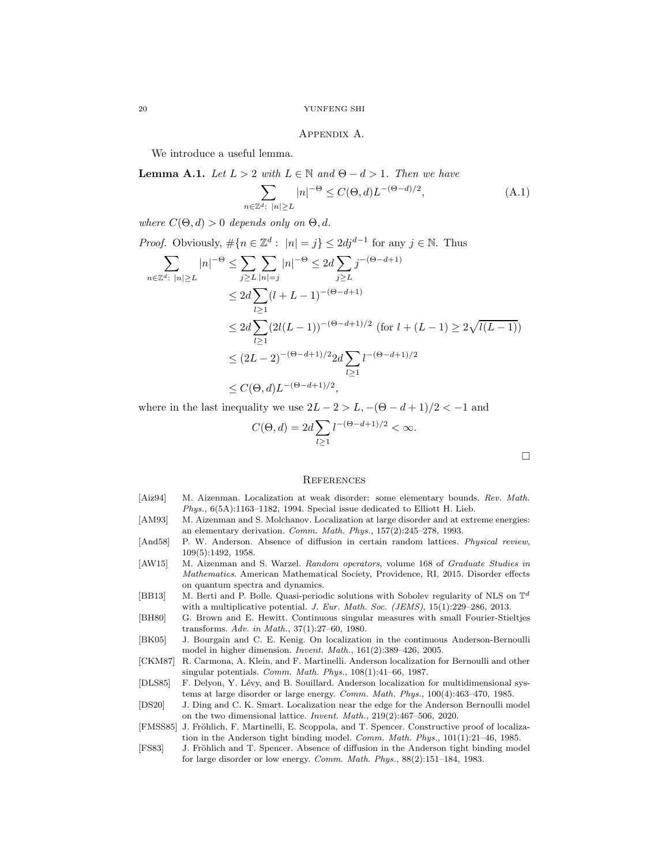#### <span id="page-19-12"></span>Appendix A.

We introduce a useful lemma.

**Lemma A.1.** Let  $L > 2$  with  $L \in \mathbb{N}$  and  $\Theta - d > 1$ . Then we have

$$
\sum_{n \in \mathbb{Z}^d: \ |n| \ge L} |n|^{-\Theta} \le C(\Theta, d) L^{-(\Theta - d)/2},\tag{A.1}
$$

where  $C(\Theta, d) > 0$  depends only on  $\Theta, d$ .

Proof. Obviously, 
$$
\# \{ n \in \mathbb{Z}^d : |n| = j \} \le 2dj^{d-1}
$$
 for any  $j \in \mathbb{N}$ . Thus  
\n
$$
\sum_{n \in \mathbb{Z}^d : |n| \ge L} |n|^{-\Theta} \le \sum_{j \ge L} \sum_{|n| = j} |n|^{-\Theta} \le 2d \sum_{j \ge L} j^{-(\Theta - d + 1)}
$$
\n
$$
\le 2d \sum_{l \ge 1} (l + L - 1)^{-(\Theta - d + 1)}
$$
\n
$$
\le 2d \sum_{l \ge 1} (2l(L - 1))^{-(\Theta - d + 1)/2} \text{ (for } l + (L - 1) \ge 2\sqrt{l(L - 1)})
$$
\n
$$
\le (2L - 2)^{-(\Theta - d + 1)/2} 2d \sum_{l \ge 1} l^{-(\Theta - d + 1)/2}
$$
\n
$$
\le C(\Theta, d) L^{-(\Theta - d + 1)/2},
$$

where in the last inequality we use  $2L - 2 > L$ ,  $-(\Theta - d + 1)/2 < -1$  and

$$
C(\Theta, d) = 2d \sum_{l \ge 1} l^{-(\Theta - d + 1)/2} < \infty.
$$

 $\Box$ 

## **REFERENCES**

- <span id="page-19-9"></span>[Aiz94] M. Aizenman. Localization at weak disorder: some elementary bounds. Rev. Math. Phys., 6(5A):1163–1182, 1994. Special issue dedicated to Elliott H. Lieb.
- <span id="page-19-7"></span>[AM93] M. Aizenman and S. Molchanov. Localization at large disorder and at extreme energies: an elementary derivation. Comm. Math. Phys., 157(2):245–278, 1993.
- <span id="page-19-0"></span>[And58] P. W. Anderson. Absence of diffusion in certain random lattices. Physical review, 109(5):1492, 1958.
- <span id="page-19-8"></span>[AW15] M. Aizenman and S. Warzel. Random operators, volume 168 of Graduate Studies in Mathematics. American Mathematical Society, Providence, RI, 2015. Disorder effects on quantum spectra and dynamics.
- <span id="page-19-10"></span>[BB13] M. Berti and P. Bolle. Quasi-periodic solutions with Sobolev regularity of NLS on  $\mathbb{T}^d$ with a multiplicative potential. J. Eur. Math. Soc. (JEMS), 15(1):229-286, 2013.
- <span id="page-19-11"></span>[BH80] G. Brown and E. Hewitt. Continuous singular measures with small Fourier-Stieltjes transforms. Adv. in Math., 37(1):27–60, 1980.
- <span id="page-19-5"></span>[BK05] J. Bourgain and C. E. Kenig. On localization in the continuous Anderson-Bernoulli model in higher dimension. Invent. Math., 161(2):389–426, 2005.
- <span id="page-19-4"></span>[CKM87] R. Carmona, A. Klein, and F. Martinelli. Anderson localization for Bernoulli and other singular potentials. Comm. Math. Phys.,  $108(1):41-66$ , 1987.
- <span id="page-19-3"></span>[DLS85] F. Delyon, Y. Lévy, and B. Souillard. Anderson localization for multidimensional systems at large disorder or large energy. Comm. Math. Phys., 100(4):463–470, 1985.
- <span id="page-19-6"></span>[DS20] J. Ding and C. K. Smart. Localization near the edge for the Anderson Bernoulli model on the two dimensional lattice. Invent. Math., 219(2):467–506, 2020.
- <span id="page-19-2"></span>[FMSS85] J. Fröhlich, F. Martinelli, E. Scoppola, and T. Spencer. Constructive proof of localization in the Anderson tight binding model. Comm. Math. Phys., 101(1):21–46, 1985.
- <span id="page-19-1"></span>[FS83] J. Fröhlich and T. Spencer. Absence of diffusion in the Anderson tight binding model for large disorder or low energy. Comm. Math. Phys., 88(2):151–184, 1983.